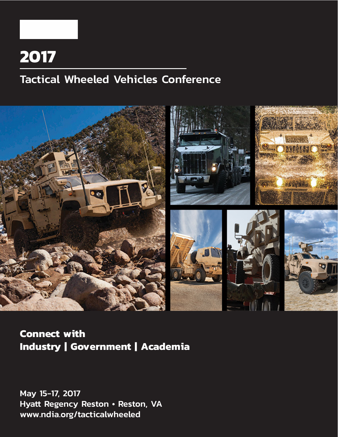## **2017**

## Tactical Wheeled Vehicles Conference



### **Connect with Industry | Government | Academia**

May 15-17, 2017 Hyatt Regency Reston • Reston, VA www.ndia.org/tacticalwheeled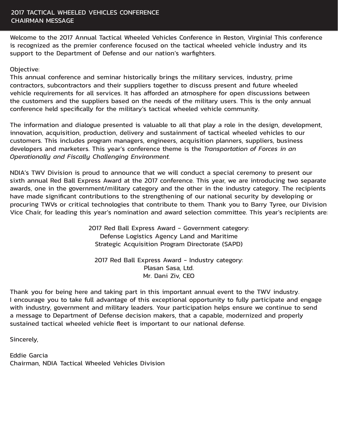Welcome to the 2017 Annual Tactical Wheeled Vehicles Conference in Reston, Virginia! This conference is recognized as the premier conference focused on the tactical wheeled vehicle industry and its support to the Department of Defense and our nation's warfighters.

#### Objective:

This annual conference and seminar historically brings the military services, industry, prime contractors, subcontractors and their suppliers together to discuss present and future wheeled vehicle requirements for all services. It has afforded an atmosphere for open discussions between the customers and the suppliers based on the needs of the military users. This is the only annual conference held specifically for the military's tactical wheeled vehicle community.

The information and dialogue presented is valuable to all that play a role in the design, development, innovation, acquisition, production, delivery and sustainment of tactical wheeled vehicles to our customers. This includes program managers, engineers, acquisition planners, suppliers, business developers and marketers. This year's conference theme is the *Transportation of Forces in an Operationally and Fiscally Challenging Environment.*

NDIA's TWV Division is proud to announce that we will conduct a special ceremony to present our sixth annual Red Ball Express Award at the 2017 conference. This year, we are introducing two separate awards, one in the government/military category and the other in the industry category. The recipients have made significant contributions to the strengthening of our national security by developing or procuring TWVs or critical technologies that contribute to them. Thank you to Barry Tyree, our Division Vice Chair, for leading this year's nomination and award selection committee. This year's recipients are:

> 2017 Red Ball Express Award - Government category: Defense Logistics Agency Land and Maritime Strategic Acquisition Program Directorate (SAPD)

2017 Red Ball Express Award - Industry category: Plasan Sasa, Ltd. Mr. Dani Ziv, CEO

Thank you for being here and taking part in this important annual event to the TWV industry. I encourage you to take full advantage of this exceptional opportunity to fully participate and engage with industry, government and military leaders. Your participation helps ensure we continue to send a message to Department of Defense decision makers, that a capable, modernized and properly sustained tactical wheeled vehicle fleet is important to our national defense.

Sincerely,

Eddie Garcia Chairman, NDIA Tactical Wheeled Vehicles Division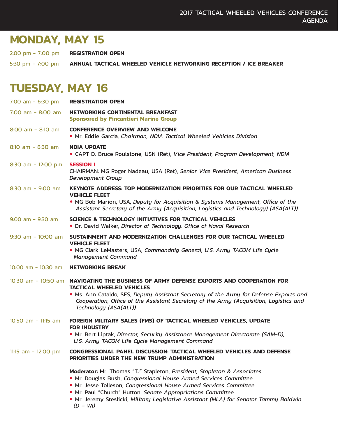## **MONDAY, MAY 15**

2:00 pm - 7:00 pm **REGISTRATION OPEN**

5:30 pm - 7:00 pm **ANNUAL TACTICAL WHEELED VEHICLE NETWORKING RECEPTION / ICE BREAKER**

## **TUESDAY, MAY 16**

| 7:00 am $-$ 6:30 pm     | <b>REGISTRATION OPEN</b>                                                                                                                                                                                                                                                                                                                                                   |
|-------------------------|----------------------------------------------------------------------------------------------------------------------------------------------------------------------------------------------------------------------------------------------------------------------------------------------------------------------------------------------------------------------------|
| $7:00$ am - 8:00 am     | NETWORKING CONTINENTAL BREAKFAST<br><b>Sponsored by Fincantieri Marine Group</b>                                                                                                                                                                                                                                                                                           |
| $8:00$ am - $8:10$ am   | <b>CONFERENCE OVERVIEW AND WELCOME</b><br>• Mr. Eddie Garcia, Chairman, NDIA Tactical Wheeled Vehicles Division                                                                                                                                                                                                                                                            |
| $8:10$ am - $8:30$ am   | <b>NDIA UPDATE</b><br>• CAPT D. Bruce Roulstone, USN (Ret), Vice President, Program Development, NDIA                                                                                                                                                                                                                                                                      |
| $8:30$ am - 12:00 pm    | <b>SESSION I</b><br>CHAIRMAN: MG Roger Nadeau, USA (Ret), Senior Vice President, American Business<br>Development Group                                                                                                                                                                                                                                                    |
| $8:30$ am - $9:00$ am   | <b>KEYNOTE ADDRESS: TOP MODERNIZATION PRIORITIES FOR OUR TACTICAL WHEELED</b><br><b>VEHICLE FLEET</b><br>• MG Bob Marion, USA, Deputy for Acquisition & Systems Management, Office of the<br>Assistant Secretary of the Army (Acquisition, Logistics and Technology) (ASA(ALT))                                                                                            |
| $9:00$ am - $9:30$ am   | <b>SCIENCE &amp; TECHNOLOGY INITIATIVES FOR TACTICAL VEHICLES</b><br>• Dr. David Walker, Director of Technology, Office of Naval Research                                                                                                                                                                                                                                  |
| $9:30$ am - $10:00$ am  | SUSTAINMENT AND MODERNIZATION CHALLENGES FOR OUR TACTICAL WHEELED<br><b>VEHICLE FLEET</b><br>. MG Clark LeMasters, USA, Commandnig General, U.S. Army TACOM Life Cycle<br><b>Management Command</b>                                                                                                                                                                        |
| $10:00$ am - $10:30$ am | <b>NETWORKING BREAK</b>                                                                                                                                                                                                                                                                                                                                                    |
|                         | 10:30 am - 10:50 am <b>NAVIGATING THE BUSINESS OF ARMY DEFENSE EXPORTS AND COOPERATION FOR</b><br><b>TACTICAL WHEELED VEHICLES</b><br>. Ms. Ann Cataldo, SES, Deputy Assistant Secretary of the Army for Defense Exports and<br>Cooperation, Office of the Assistant Secretary of the Army (Acquisition, Logistics and<br>Technology (ASA(ALT))                            |
| $10:50$ am - 11:15 am   | FOREIGN MILITARY SALES (FMS) OF TACTICAL WHEELED VEHICLES, UPDATE<br><b>FOR INDUSTRY</b><br>. Mr. Bert Liptak, Director, Security Assistance Management Directorate (SAM-D),<br>U.S. Army TACOM Life Cycle Management Command                                                                                                                                              |
| 11:15 am - 12:00 pm     | CONGRESSIONAL PANEL DISCUSSION: TACTICAL WHEELED VEHICLES AND DEFENSE<br>PRIORITIES UNDER THE NEW TRUMP ADMINISTRATION                                                                                                                                                                                                                                                     |
|                         | Moderator: Mr. Thomas "TJ" Stapleton, President, Stapleton & Associates<br>. Mr. Douglas Bush, Congressional House Armed Services Committee<br>. Mr. Jesse Tolleson, Congressional House Armed Services Committee<br>. Mr. Paul "Church" Hutton, Senate Appropriations Committee<br>. Mr. Jeremy Steslicki, Military Legislative Assistant (MLA) for Senator Tammy Baldwin |

 *(D – WI)*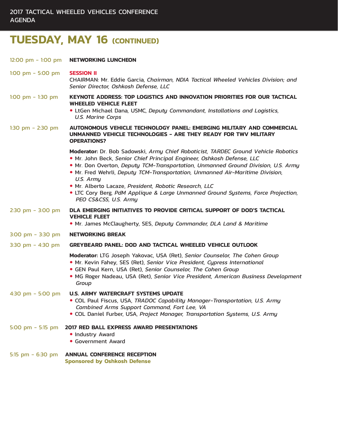## **TUESDAY, MAY 16 (CONTINUED)**

| 12:00 pm $-$ 1:00 pm                | <b>NETWORKING LUNCHEON</b>                                                                                                                                                                                                                                                                                                                                                                                                                                                                                             |
|-------------------------------------|------------------------------------------------------------------------------------------------------------------------------------------------------------------------------------------------------------------------------------------------------------------------------------------------------------------------------------------------------------------------------------------------------------------------------------------------------------------------------------------------------------------------|
| 1:00 pm $-$ 5:00 pm                 | <b>SESSION II</b><br>CHAIRMAN: Mr. Eddie Garcia, Chairman, NDIA Tactical Wheeled Vehicles Division; and<br>Senior Director, Oshkosh Defense, LLC                                                                                                                                                                                                                                                                                                                                                                       |
| 1:00 pm $-$ 1:30 pm                 | <b>KEYNOTE ADDRESS: TOP LOGISTICS AND INNOVATION PRIORITIES FOR OUR TACTICAL</b><br><b>WHEELED VEHICLE FLEET</b><br>• LtGen Michael Dana, USMC, Deputy Commandant, Installations and Logistics,<br><b>U.S. Marine Corps</b>                                                                                                                                                                                                                                                                                            |
| 1:30 pm $-$ 2:30 pm                 | AUTONOMOUS VEHICLE TECHNOLOGY PANEL: EMERGING MILITARY AND COMMERCIAL<br>UNMANNED VEHICLE TECHNOLOGIES - ARE THEY READY FOR TWV MILITARY<br><b>OPERATIONS?</b>                                                                                                                                                                                                                                                                                                                                                         |
|                                     | Moderator: Dr. Bob Sadowski, Army Chief Roboticist, TARDEC Ground Vehicle Robotics<br>. Mr. John Beck, Senior Chief Principal Engineer, Oshkosh Defense, LLC<br>. Mr. Don Overton, Deputy TCM-Transportation, Unmanned Ground Division, U.S. Army<br>. Mr. Fred Wehrli, Deputy TCM-Transportation, Unmanned Air-Maritime Division,<br>U.S. Army<br>· Mr. Alberto Lacaze, President, Robotic Research, LLC<br>• LTC Cory Berg, PdM Applique & Large Unmanned Ground Systems, Force Projection,<br>PEO CS&CSS, U.S. Army |
| $2:30$ pm - 3:00 pm                 | DLA EMERGING INITIATIVES TO PROVIDE CRITICAL SUPPORT OF DOD'S TACTICAL<br><b>VEHICLE FLEET</b><br>. Mr. James McClaugherty, SES, Deputy Commander, DLA Land & Maritime                                                                                                                                                                                                                                                                                                                                                 |
| $3:00 \text{ pm} - 3:30 \text{ pm}$ | <b>NETWORKING BREAK</b>                                                                                                                                                                                                                                                                                                                                                                                                                                                                                                |
| 3:30 pm $-$ 4:30 pm                 | <b>GREYBEARD PANEL: DOD AND TACTICAL WHEELED VEHICLE OUTLOOK</b>                                                                                                                                                                                                                                                                                                                                                                                                                                                       |
|                                     | Moderator: LTG Joseph Yakovac, USA (Ret), Senior Counselor, The Cohen Group<br>. Mr. Kevin Fahey, SES (Ret), Senior Vice President, Cypress International<br>• GEN Paul Kern, USA (Ret), Senior Counselor, The Cohen Group<br>· MG Roger Nadeau, USA (Ret), Senior Vice President, American Business Development<br>Group                                                                                                                                                                                              |
| 4:30 pm $-$ 5:00 pm                 | <b>U.S. ARMY WATERCRAFT SYSTEMS UPDATE</b><br>· COL Paul Fiscus, USA, TRADOC Capability Manager-Transportation, U.S. Army<br>Combined Arms Support Command, Fort Lee, VA<br>• COL Daniel Furber, USA, Project Manager, Transportation Systems, U.S. Army                                                                                                                                                                                                                                                               |
| 5:00 pm $-$ 5:15 pm                 | <b>2017 RED BALL EXPRESS AWARD PRESENTATIONS</b><br>• Industry Award<br>• Government Award                                                                                                                                                                                                                                                                                                                                                                                                                             |
| 5:15 $pm - 6:30 pm$                 | <b>ANNUAL CONFERENCE RECEPTION</b><br><b>Sponsored by Oshkosh Defense</b>                                                                                                                                                                                                                                                                                                                                                                                                                                              |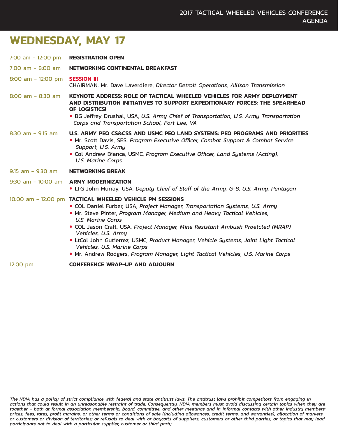## **WEDNESDAY, MAY 17**

| 7:00 am $-$ 12:00 pm                  | <b>REGISTRATION OPEN</b>                                                                                                                                                                                                                                                                                                                                                                                                                                                                                                                                               |
|---------------------------------------|------------------------------------------------------------------------------------------------------------------------------------------------------------------------------------------------------------------------------------------------------------------------------------------------------------------------------------------------------------------------------------------------------------------------------------------------------------------------------------------------------------------------------------------------------------------------|
| $7:00$ am $-$ 8:00 am                 | NETWORKING CONTINENTAL BREAKFAST                                                                                                                                                                                                                                                                                                                                                                                                                                                                                                                                       |
| 8:00 am - 12:00 pm <b>SESSION III</b> | <b>CHAIRMAN: Mr. Dave Laverdiere, Director Detroit Operations, Allison Transmission</b>                                                                                                                                                                                                                                                                                                                                                                                                                                                                                |
| $8:00$ am - $8:30$ am                 | <b>KEYNOTE ADDRESS: ROLE OF TACTICAL WHEELED VEHICLES FOR ARMY DEPLOYMENT</b><br>AND DISTRIBUTION INITIATIVES TO SUPPORT EXPEDITIONARY FORCES: THE SPEARHEAD<br>OF LOGISTICS!<br>• BG Jeffrey Drushal, USA, U.S. Army Chief of Transportation, U.S. Army Transportation<br>Corps and Transportation School, Fort Lee, VA                                                                                                                                                                                                                                               |
| $8:30$ am - $9:15$ am                 | U.S. ARMY PEO CS&CSS AND USMC PEO LAND SYSTEMS: PEO PROGRAMS AND PRIORITIES<br>• Mr. Scott Davis, SES, Program Executive Officer, Combat Support & Combat Service<br>Support, U.S. Army<br>• Col Andrew Bianca, USMC, Program Executive Officer, Land Systems (Acting),<br><b>U.S. Marine Corps</b>                                                                                                                                                                                                                                                                    |
| $9:15$ am - $9:30$ am                 | <b>NETWORKING BREAK</b>                                                                                                                                                                                                                                                                                                                                                                                                                                                                                                                                                |
|                                       | 9:30 am - 10:00 am ARMY MODERNIZATION<br>• LTG John Murray, USA, Deputy Chief of Staff of the Army, G-8, U.S. Army, Pentagon                                                                                                                                                                                                                                                                                                                                                                                                                                           |
|                                       | 10:00 am - 12:00 pm TACTICAL WHEELED VEHICLE PM SESSIONS<br>. COL Daniel Furber, USA, Project Manager, Transportation Systems, U.S. Army<br>. Mr. Steve Pinter, Program Manager, Medium and Heavy Tactical Vehicles,<br><b>U.S. Marine Corps</b><br>• COL Jason Craft, USA, Project Manager, Mine Resistant Ambush Proetcted (MRAP)<br>Vehicles, U.S. Army<br>· LtCol John Gutierrez, USMC, Product Manager, Vehicle Systems, Joint Light Tactical<br>Vehicles, U.S. Marine Corps<br>. Mr. Andrew Rodgers, Program Manager, Light Tactical Vehicles, U.S. Marine Corps |
| 12:00 pm                              | <b>CONFERENCE WRAP-UP AND ADJOURN</b>                                                                                                                                                                                                                                                                                                                                                                                                                                                                                                                                  |

*The NDIA has a policy of strict compliance with federal and state antitrust laws. The antitrust laws prohibit competitors from engaging in actions that could result in an unreasonable restraint of trade. Consequently, NDIA members must avoid discussing certain topics when they are together – both at formal association membership, board, committee, and other meetings and in informal contacts with other industry members: prices, fees, rates, profit margins, or other terms or conditions of sale (including allowances, credit terms, and warranties); allocation of markets or customers or division of territories; or refusals to deal with or boycotts of suppliers, customers or other third parties, or topics that may lead participants not to deal with a particular supplier, customer or third party.*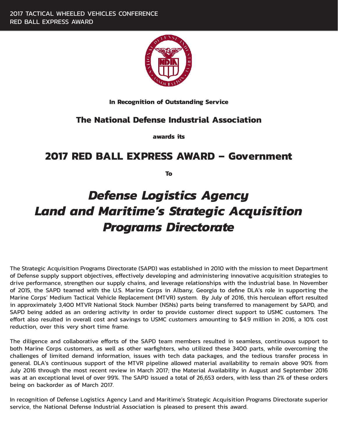

**In Recognition of Outstanding Service**

### **The National Defense Industrial Association**

**awards its**

### **2017 RED BALL EXPRESS AWARD – Government**

**To**

## *Defense Logistics Agency Land and Maritime's Strategic Acquisition Programs Directorate*

The Strategic Acquisition Programs Directorate (SAPD) was established in 2010 with the mission to meet Department of Defense supply support objectives, effectively developing and administering innovative acquisition strategies to drive performance, strengthen our supply chains, and leverage relationships with the industrial base. In November of 2015, the SAPD teamed with the U.S. Marine Corps in Albany, Georgia to define DLA's role in supporting the Marine Corps' Medium Tactical Vehicle Replacement (MTVR) system. By July of 2016, this herculean effort resulted in approximately 3,400 MTVR National Stock Number (NSNs) parts being transferred to management by SAPD, and SAPD being added as an ordering activity in order to provide customer direct support to USMC customers. The effort also resulted in overall cost and savings to USMC customers amounting to \$4.9 million in 2016, a 10% cost reduction, over this very short time frame.

The diligence and collaborative efforts of the SAPD team members resulted in seamless, continuous support to both Marine Corps customers, as well as other warfighters, who utilized these 3400 parts, while overcoming the challenges of limited demand information, issues with tech data packages, and the tedious transfer process in general. DLA's continuous support of the MTVR pipeline allowed material availability to remain above 90% from July 2016 through the most recent review in March 2017; the Material Availability in August and September 2016 was at an exceptional level of over 99%. The SAPD issued a total of 26,653 orders, with less than 2% of these orders being on backorder as of March 2017.

In recognition of Defense Logistics Agency Land and Maritime's Strategic Acquisition Programs Directorate superior service, the National Defense Industrial Association is pleased to present this award.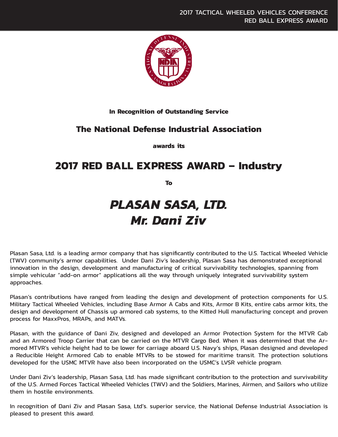

#### **In Recognition of Outstanding Service**

#### **The National Defense Industrial Association**

**awards its**

### **2017 RED BALL EXPRESS AWARD – Industry**

**To**

## *PLASAN SASA, LTD. Mr. Dani Ziv*

Plasan Sasa, Ltd. is a leading armor company that has significantly contributed to the U.S. Tactical Wheeled Vehicle (TWV) community's armor capabilities. Under Dani Ziv's leadership, Plasan Sasa has demonstrated exceptional innovation in the design, development and manufacturing of critical survivability technologies, spanning from simple vehicular "add-on armor" applications all the way through uniquely integrated survivability system approaches.

Plasan's contributions have ranged from leading the design and development of protection components for U.S. Military Tactical Wheeled Vehicles, including Base Armor A Cabs and Kits, Armor B Kits, entire cabs armor kits, the design and development of Chassis up armored cab systems, to the Kitted Hull manufacturing concept and proven process for MaxxPros, MRAPs, and MATVs.

Plasan, with the guidance of Dani Ziv, designed and developed an Armor Protection System for the MTVR Cab and an Armored Troop Carrier that can be carried on the MTVR Cargo Bed. When it was determined that the Armored MTVR's vehicle height had to be lower for carriage aboard U.S. Navy's ships, Plasan designed and developed a Reducible Height Armored Cab to enable MTVRs to be stowed for maritime transit. The protection solutions developed for the USMC MTVR have also been incorporated on the USMC's LVSR vehicle program.

Under Dani Ziv's leadership, Plasan Sasa, Ltd. has made significant contribution to the protection and survivability of the U.S. Armed Forces Tactical Wheeled Vehicles (TWV) and the Soldiers, Marines, Airmen, and Sailors who utilize them in hostile environments.

In recognition of Dani Ziv and Plasan Sasa, Ltd's. superior service, the National Defense Industrial Association is pleased to present this award.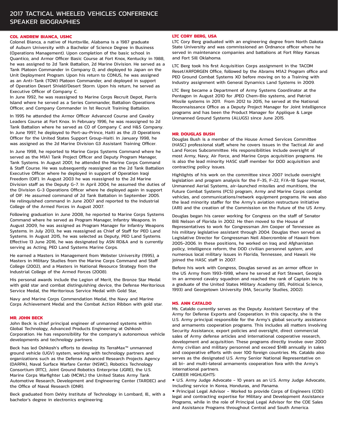#### 2017 TACTICAL WHEELED VEHICLES CONFERENCE SPEAKER BIOGRAPHIES

#### **COL ANDREW BIANCA, USMC**

Colonel Bianca, a native of Huntsville, Alabama is a 1987 graduate of Auburn University with a Bachelor of Science Degree in Business (Operations Management). Upon completion of the basic school in Quantico, and Armor Officer Basic Course at Fort Knox, Kentucky in 1988, he was assigned to 2d Tank Battalion, 2d Marine Division. He served as a Tank Platoon Commander in Company D, and deployed to Japan on the Unit Deployment Program. Upon his return to CONUS, he was assigned as an Anti-Tank (TOW) Platoon Commander, and deployed in support of Operation Desert Shield/Desert Storm. Upon his return, he served as Executive Officer of Company C.

In June 1992, he was reassigned to Marine Corps Recruit Depot, Parris Island where he served as a Series Commander, Battalion Operations Officer, and Company Commander in 1st Recruit Training Battalion.

In 1995 he attended the Armor Officer Advanced Course and Cavalry Leaders Course at Fort Knox. In February 1996, he was reassigned to 2d Tank Battalion where he served as CO of Company C and H&S Company. In June 1997, he deployed to Port-au-Prince, Haiti as the J3 Operations Officer for the United States Support Group-Haiti. In January 1998, he was assigned as the 2d Marine Division G3 Assistant Training Officer.

In June 1998, he reported to Marine Corps Systems Command where he served as the M1A1 Tank Project Officer and Deputy Program Manager, Tank Systems. In August 2001, he attended the Marine Corps Command & Staff Course. He was subsequently reassigned as the 2d Tank Battalion Executive Officer where he deployed in support of Operation Iraqi Freedom (OIF). In August 2003 he was reassigned to the 2d Marine Division staff as the Deputy G-7. In April 2004, he assumed the duties of the Division G-3 Operations Officer where he deployed again in support of OIF. He assumed command of 2d Tank Battalion in September 2005. He relinquished command in June 2007 and reported to the Industrial College of the Armed Forces in August 2007.

Following graduation in June 2008, he reported to Marine Corps Systems Command where he served as Program Manager, Infantry Weapons. In August 2009, he was assigned as Program Manager for Infantry Weapons Systems. In July 2013, he was reassigned as Chief of Staff for PEO Land Systems. In August 2015, he was selected as Deputy, PEO Land Systems. Effective 13 June 2016, he was designated by ASN RD&A and is currently serving as Acting, PEO Land Systems Marine Corps.

He earned a Masters in Management from Webster University (1995), a Masters in Military Studies from the Marine Corps Command and Staff College (2002), and a Masters in National Resource Strategy from the Industrial College of the Armed Forces (2008).

His personal awards include the Legion of Merit, the Bronze Star Medal with gold star and combat distinguishing device, the Defense Meritorious Service Medal, the Meritorious Service Medal with Gold Star,

Navy and Marine Corps Commendation Medal, the Navy and Marine Corps Achievement Medal and the Combat Action Ribbon with gold star.

#### **MR. JOHN BECK**

John Beck is chief principal engineer of unmanned systems within Global Technology, Advanced Products Engineering at Oshkosh Corporation. He has responsibility for the company's autonomous vehicle developments and technology partners.

Beck has led Oshkosh's efforts to develop its TerraMax™ unmanned ground vehicle (UGV) system, working with technology partners and organizations such as the Defense Advanced Research Projects Agency (DARPA), Naval Surface Warfare Center (NSWC), Robotics Technology Consortium (RTC), Joint Ground Robotics Enterprise (JGRE), the U.S. Marine Corps Warfighter Lab (MCWL) the United States Army Tank Automotive Research, Development and Engineering Center (TARDEC) and the Office of Naval Research (ONR).

Beck graduated from DeVry Institute of Technology in Lombard, Ill., with a bachelor's degree in electronics engineering.

#### **LTC CORY BERG, USA**

LTC Cory Berg graduated with an engineering degree from North Dakota State University and was commissioned an Ordnance officer where he served in maintenance companies and battalions at Fort Riley Kansas and Fort Sill Oklahoma.

LTC Berg took his first Acquisition Corps assignment in the TACOM Reset/ARFORGEN Office, followed by the Abrams M1A2 Program office and PEO Ground Combat Systems XO before moving on to a Training with Industry assignment with General Dynamics Land Systems in 2009.

LTC Berg became a Department of Army Systems Coordinator at the Pentagon in August 2010 for JPEO Chem-Bio systems, and Patriot Missile systems in 2011. From 2012 to 2015, he served at the National Reconnaissance Office as a Deputy Project Manager for Joint Intelligence programs and has been the Product Manager for Applique & Large Unmanned Ground Systems (ALUGS) since June 2015.

#### **MR. DOUGLAS BUSH**

Douglas Bush is a member of the House Armed Services Committee (HASC) professional staff, where he covers issues in the Tactical Air and Land Forces Subcommittee. His responsibilities include oversight of most Army, Navy, Air Force, and Marine Corps acquisition programs. He is also the lead minority HASC staff member for DOD acquisition and contracting policy issues.

Highlights of his work on the committee since 2007 include oversight legislation and program analysis for the F-35, F-22, F/A-18 Super Hornet, Unmanned Aerial Systems, air-launched missiles and munitions, the Future Combat Systems (FCS) program, Army and Marine Corps combat vehicles, and communications/network equipment programs. He was also the lead minority staffer for the Army's aviation restructure initiative (ARI) and the creation of the Commission on the Future of the US Army.

Douglas began his career working for Congress on the staff of Senator Bill Nelson of Florida in 2002. He then moved to the House of Representatives to work for Congressman Jim Cooper of Tennessee as his military legislative assistant through 2004. Douglas then served as Legislative Director for Congressman Neil Abercrombie of Hawaii from 2005-2006. In these positions, he worked on Iraq and Afghanistan policy, intelligence reform, the DOD civilian personnel system, and numerous local military issues in Florida, Tennessee, and Hawaii. He joined the HASC staff in 2007.

Before his work with Congress, Douglas served as an armor officer in the US Army from 1993-1998, where he served at Fort Stewart, Georgia in an armored cavalry squadron and reached the rank of Captain. He is a graduate of the United States Military Academy (BS, Political Science, 1993) and Georgetown University (MA, Security Studies, 2002).

#### **MS. ANN CATALDO**

Ms. Cataldo currently serves as the Deputy Assistant Secretary of the Army for Defense Exports and Cooperation. In this capacity, she is the U.S. Army principal responsible for the Army's global security assistance and armaments cooperation programs. This includes all matters involving Security Assistance, export policies and oversight, direct commercial sales of Army defense articles and international cooperative research, development and acquisition. These programs directly involve over 2000 Army civilian and military personnel and exceed \$14B annually in sales and cooperative efforts with over 100 foreign countries. Ms. Cataldo also serves as the designated U.S. Army Senior National Representative on all bi- and multi-lateral armaments cooperation fora with the Army's international partners.

CAREER HIGHLIGHTS:

 U.S. Army Judge Advocate - 10 years as an U.S. Army Judge Advocate, including service in Korea, Honduras, and Panama.

 Principal Legal Advisor - Worked to provide Corps of Engineers (COE) legal and contracting expertise for Military and Development Assistance Programs, while in the role of Principal Legal Advisor for the COE Sales and Assistance Programs throughout Central and South America.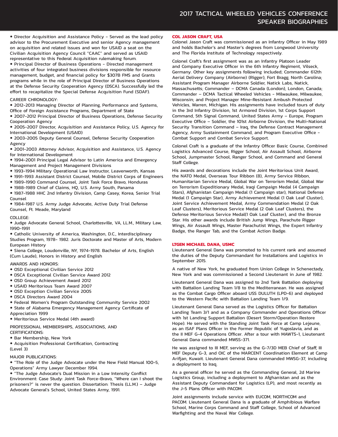Director Acquisition and Assistance Policy - Served as the lead policy advisor to the Procurement Executive and senior Agency management on acquisition and related issues and won for USAID a seat on the Civilian Acquisition Agency Council "CAAC" and served as USAID representative to this Federal Acquisition rulemaking forum.

 Principal Director of Business Operations - Directed management activities of four integrated business divisions responsible for resource management, budget, and financial policy for \$307B FMS and Grants programs while in the role of Principal Director of Business Operations at the Defense Security Cooperation Agency (DSCA). Successfully led the effort to recapitalize the Special Defense Acquisition Fund (SDAF).

#### CAREER CHRONOLOGY:

 2012-2013 Managing Director of Planning, Performance and Systems, Office of Foreign Assistance Programs, Department of State

 2007-2012 Principal Director of Business Operations, Defense Security Cooperation Agency

 2005-2007 Director, Acquisition and Assistance Policy, U.S. Agency for International Development (USAID)

 2003-2005 Deputy General Counsel, Defense Security Cooperation Agency

 2001-2003 Attorney Advisor, Acquisition and Assistance, U.S. Agency for International Development

 1994-2001 Principal Legal Advisor to Latin America and Emergency Management and Project Management Divisions

1993-1994 Military Operational Law Instructor, Leavenworth, Kansas

1991-1993 Assistant District Counsel, Mobile District Corps of Engineers

1989-1990 Command Counsel, Joint Task Force Bravo, Honduras

1988-1989 Chief of Claims, HQ, U.S. Army South, Panama

 1987-1988 HHC 2nd Infantry Division, Camp Casey, Korea, Senior Trial Counsel

 1984-1987 U.S. Army Judge Advocate, Active Duty Trial Defense Counsel, Ft. Meade, Maryland

#### COLLEGE:

 Judge Advocate General School, Charlottesville, VA, LL.M., Military Law, 1990-1991

 Catholic University of America, Washington, D.C., Interdisciplinary Studies Program, 1978- 1982. Juris Doctorate and Master of Arts, Modern European History

**•** Siena College, Loudonville, NY, 1974-1978. Bachelor of Arts, English (Cum Laude), Honors in History and English

#### AWARDS AND HONORS:

OSD Exceptional Civilian Service 2012

- DSCA Exceptional Civilian Service Award 2012
- OSD Group Achievement Award 2012
- USAID Meritorious Team Award 2007
- OSD Exception Civilian Service 2005
- DSCA Directors Award 2004
- Federal Women's Program Outstanding Community Service 2002

 State of Alabama Emergency Management Agency Certificate of Appreciation 1999

Meritorious Service Medal (4th award)

PROFESSIONAL MEMBERSHIPS, ASSOCIATIONS, AND CERTIFICATIONS:

**• Bar Membership, New York** 

 Acquisition Professional Certification, Contracting (Level 3)

MAJOR PUBLICATIONS:

 "The Role of the Judge Advocate under the New Field Manual 100-5, Operations" Army Lawyer December 1994.

 "The Judge Advocate's Dual Mission in a Low Intensity Conflict Environment: Case Study: Joint Task Force-Bravo, "Where can I shoot the prisoners?" is never the question. Dissertation: Thesis (LL.M.) – Judge Advocate General's School, United States Army, 1991.

#### **COL JASON CRAFT, USA**

Colonel Jason Craft was commissioned as an Infantry Officer in May 1989 and holds Bachelor's and Master's degrees from Longwood University and The Florida Institute of Technology respectively.

Colonel Craft's first assignment was as an Infantry Platoon Leader and Company Executive Officer in the 6th Infantry Regiment, Vilseck, Germany. Other key assignments following included; Commander 612th Aerial Delivery Company (Airborne) (Rigger), Fort Bragg, North Carolina; Assistant Program Manager Airborne Soldier, Natick Labs, Natick, Massachusetts; Commander – DCMA Canada (London), London, Canada; Commander – DCMA Tactical Wheeled Vehicles - Milwaukee, Milwaukee, Wisconsin; and Project Manager Mine-Resistant Ambush Protected Vehicles, Warren, Michigan. His assignments have included tours of duty in the 3rd Infantry Division, 1st Armored Division, 1st Corps Support Command, 5th Signal Command, United States Army – Europe, Program Executive Office – Soldier, the 101st Airborne Division, the Multi-National Security Transition Command – Iraq, the Defense Contract Management Agency, Army Sustainment Command, and Program Executive Office - Combat Support and Combat Service Support.

Colonel Craft is a graduate of the Infantry Officer Basic Course, Combined Logistics Advanced Course, Rigger School, Air Assault School, Airborne School, Jumpmaster School, Ranger School, and Command and General Staff College.

His awards and decorations include the Joint Meritorious Unit Award, the NATO Medal, Overseas Tour Ribbon (8), Army Service Ribbon, Humanitarian Service Medal, Global War on Terrorism Medal, Global War on Terrorism Expeditionary Medal, Iraqi Campaign Medal (4 Campaign Stars), Afghanistan Campaign Medal (1 Campaign star), National Defense Medal (1 Campaign Star), Army Achievement Medal (1 Oak Leaf Cluster), Joint Service Achievement Medal, Army Commendation Medal (2 Oak Leaf Clusters), Meritorious Service Medal (2 Oak Leaf Clusters), the Defense Meritorious Service Medal(1 Oak Leaf Cluster), and the Bronze Star. His other awards include British Jump Wings, Parachute Rigger Wings, Air Assault Wings, Master Parachutist Wings, the Expert Infantry Badge, the Ranger Tab, and the Combat Action Badge.

#### **LTGEN MICHAEL DANA, USMC**

Lieutenant General Dana was promoted to his current rank and assumed the duties of the Deputy Commandant for Installations and Logistics in September 2015.

A native of New York, he graduated from Union College in Schenectady, New York and was commissioned a Second Lieutenant in June of 1982.

Lieutenant General Dana was assigned to 2nd Tank Battalion deploying with Battalion Landing Team 1/8 to the Mediterranean. He was assigned as the Combat Cargo Officer aboard USS DULUTH (LPD-6) and deployed to the Western Pacific with Battalion Landing Team 1/9.

Lieutenant General Dana served as the Logistics Officer for Battalion Landing Team 3/1 and as a Company Commander and Operations Officer with 1st Landing Support Battalion (Desert Storm/Operation Restore Hope). He served with the Standing Joint Task Force at Camp Lejeune, as an ISAF Plans Officer in the Former Republic of Yugoslavia, and as the II MEF G-4 Operations Officer. After a tour with MAWTS-1, Lieutenant General Dana commanded MWSS-371.

He was assigned to III MEF, serving as the G-7/3D MEB Chief of Staff, III MEF Deputy G-3, and OIC of the MARCENT Coordination Element at Camp Arifjan, Kuwait. Lieutenant General Dana commanded MWSG-37, including a deployment to Iraq.

As a general officer he served as the Commanding General, 2d Marine Logistics Group, including a deployment to Afghanistan and as the Assistant Deputy Commandant for Logistics (LP), and most recently as the J-5 Plans Officer with PACOM.

Joint assignments include service with EUCOM, NORTHCOM and PACOM. Lieutenant General Dana is a graduate of Amphibious Warfare School, Marine Corps Command and Staff College, School of Advanced Warfighting and the Naval War College.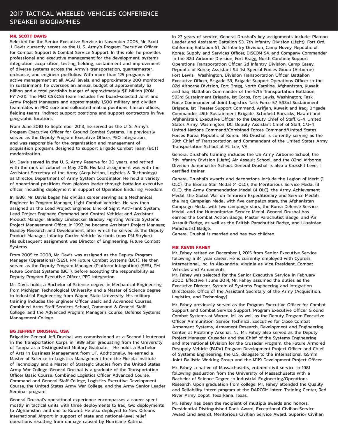#### 2017 TACTICAL WHEELED VEHICLES CONFERENCE SPEAKER BIOGRAPHIES

#### **MR. SCOTT DAVIS**

Selected for the Senior Executive Service in November 2005, Mr. Scott J. Davis currently serves as the U. S. Army's Program Executive Officer for Combat Support & Combat Service Support. In this role, he provides professional and executive management for the development, systems integration, acquisition, testing, fielding, sustainment and improvement of diverse systems across the Army's transportation, quartermaster, ordnance, and engineer portfolios. With more than 125 programs in active management at all ACAT levels, and approximately 200 monitored in sustainment, he oversees an annual budget of approximately \$2 billion and a total portfolio budget of approximately \$11 billion (POM FY17-21). The PEO CS&CSS team includes five board-selected Joint and Army Project Managers and approximately 1,500 military and civilian teammates in PEO core and collocated matrix positions, liaison offices, fielding teams, indirect support positions and support contractors in five geographic locations.

From June 2010 to September 2013, he served as the U. S. Army's Program Executive Officer for Ground Combat Systems. He previously served as the Deputy Program Executive Officer, PEO Integration, and was responsible for the organization and management of acquisition programs designed to support Brigade Combat Team (BCT) modernization.

Mr. Davis served in the U. S. Army Reserve for 30 years, and retired with the rank of colonel in May 2015. His last assignment was with the Assistant Secretary of the Army (Acquisition, Logistics & Technology) as Director, Department of Army System Coordinator. He held a variety of operational positions from platoon leader through battalion executive officer, including deployment in support of Operation Enduring Freedom.

In 1986, Mr. Davis began his civilian career serving as a Mechanical Engineer in Program Manager, Light Combat Vehicles. He was then assigned as the Lead Project Engineer, Line of Sight Anti-Tank System; Lead Project Engineer, Command and Control Vehicle; and Assistant Product Manager, Bradley Linebacker, Bradley Fighting Vehicle Systems Project Management Office. In 1997, he became Assistant Project Manager, Bradley Research and Development, after which he served as the Deputy Product Manager, Infantry Carrier Vehicle Variants (now PM Stryker). His subsequent assignment was Director of Engineering, Future Combat Systems.

From 2005 to 2008, Mr. Davis was assigned as the Deputy Program Manager (Operations) (SES), PM Future Combat Systems (BCT). He then served as the Deputy Program Manager (Platform Integration) (SES), PM Future Combat Systems (BCT), before accepting the responsibility as Deputy Program Executive Officer, PEO Integration.

Mr. Davis holds a Bachelor of Science degree in Mechanical Engineering from Michigan Technological University and a Master of Science degree in Industrial Engineering from Wayne State University. His military training includes the Engineer Officer Basic and Advanced Courses, Combined Arms Staff Services School, Command & General Staff College, and the Advanced Program Manager's Course, Defense Systems Management College.

#### **BG JEFFREY DRUSHAL, USA**

Brigadier General Jeff Drushal was commissioned as a Second Lieutenant in the Transportation Corps in 1989 after graduating from the University of Tampa as a Distinguished Military Graduate. He holds a Bachelor of Arts in Business Management from UT. Additionally, he earned a Master of Science in Logistics Management from the Florida Institute of Technology and a Master of Strategic Studies from the United States Army War College. General Drushal is a graduate of the Transportation Officer Basic Course, Combined Logistics Officer Advanced Course, Command and General Staff College, Logistics Executive Development Course, the United States Army War College, and the Army Senior Leader Seminar program.

General Drushal's operational experience encompasses a career spent mostly in tactical units with three deployments to Iraq, two deployments to Afghanistan, and one to Kuwait. He also deployed to New Orleans International Airport in support of state and national-level relief operations resulting from damage caused by Hurricane Katrina.

In 27 years of service, General Drushal's key assignments include: Platoon Leader and Assistant Battalion S3, 7th Infantry Division (Light), Fort Ord, California; Battalion S1, 2d Infantry Division, Camp Hovey, Republic of Korea; Supply and Services Officer, DISCOM S4, and Company Commander in the 82d Airborne Division, Fort Bragg, North Carolina; Support Operations Transportation Officer, 2d Infantry Division, Camp Casey, Republic of Korea; Assistant S4, 1st Special Forces Group (Airborne) Fort Lewis, Washington; Division Transportation Officer, Battalion Executive Officer, Brigade S3, Brigade Support Operations Officer in the 82d Airborne Division, Fort Bragg, North Carolina, Afghanistan, Kuwait, and Iraq; Battalion Commander of the 57th Transportation Battalion, 593rd Sustainment Brigade, 1st Corps, Fort Lewis, Washington; Task Force Commander of Joint Logistics Task Force 57, 593rd Sustainment Brigade, 1st Theater Support Command, Arifjan, Kuwait and Iraq; Brigade Commander, 45th Sustainment Brigade, Schofield Barracks, Hawaii and Afghanistan; Executive Officer to the Deputy Chief of Staff, G-4, United States Army, Washington, DC; Deputy Assistant Chief of Staff, C/J-4, United Nations Command/Combined Forces Command/United States Forces Korea, Republic of Korea. BG Drushal is currently serving as the 29th Chief of Transportation and Commandant of the United States Army Transportation School at Ft. Lee, VA.

General Drushal's training includes the US Army Airborne School, the 7th Infantry Division (Light) Air Assault School, and the 82nd Airborne Division Jumpmaster School. General Drushal is also a CrossFit Level I certified trainer.

General Drushal's awards and decorations include the Legion of Merit (1 OLC), the Bronze Star Medal (4 OLC), the Meritorious Service Medal (3 OLC), the Army Commendation Medal (4 OLC), the Army Achievement Medal, the Global War on Terrorism Expeditionary and Service Medals, the Iraq Campaign Medal with five campaign stars, the Afghanistan Campaign Medal with two campaign stars, the Korea Defense Service Medal, and the Humanitarian Service Medal. General Drushal has earned the Combat Action Badge, Master Parachutist Badge, and Air Assault Badge, as well as the British Parachutist Badge, and Ukrainian Parachutist Badge.

General Drushal is married and has two children.

#### **MR. KEVIN FAHEY**

Mr. Fahey retired on December 1, 2015 from Senior Executive Service following a 34 year career. He is currently employed with Cypress International, Inc. in Alexandria, Virginia as Vice President, Combat Vehicles and Armaments.

Mr. Fahey was selected for the Senior Executive Service in February 2000. Effective 1 June 2014, Mr. Fahey assumed the duties as the Executive Director, System of Systems Engineering and Integration Directorate, Office of the Assistant Secretary of the Army (Acquisition, Logistics, and Technology).

Mr. Fahey previously served as the Program Executive Officer for Combat Support and Combat Service Support, Program Executive Officer Ground Combat Systems at Warren, MI, as well as the Deputy Program Executive Officer Ammunition, Senior Technical Executive for Close Combat Armament Systems, Armament Research, Development and Engineering Center, at Picatinny Arsenal, NJ. Mr. Fahey also served as the Deputy Project Manager, Crusader and the Chief of the Systems Engineering and International Division for the Crusader Program, the Future Armored Resupply Vehicle (FARV) Program Development Project Officer and Chief of Systems Engineering, the U.S. delegate to the international 155mm Joint Ballistic Working Group and the M119 Development Project Officer.

Mr. Fahey, a native of Massachusetts, entered civil service in 1981 following graduation from the University of Massachusetts with a Bachelor of Science Degree in Industrial Engineering/Operations Research. Upon graduation from college, Mr. Fahey attended the Quality and Reliability intern program at the DARCOM Intern Training Center, Red River Army Depot, Texarkana, Texas.

Mr. Fahey has been the recipient of multiple awards and honors; Presidential Distinguished Rank Award, Exceptional Civilian Service Award (2nd award), Meritorious Civilian Service Award, Superior Civilian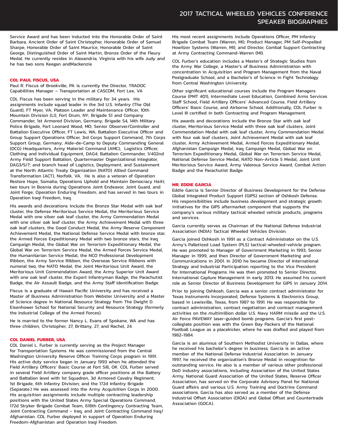Service Award and has been inducted into the Honorable Order of Saint Barbara, Ancient Order of Saint Christopher, Honorable Order of Samuel Sharpe, Honorable Order of Saint Maurice, Honorable Order of Saint George, Distinguished Order of Saint Martin, Bronze Order of the Fleury Medal. He currently resides in Alexandria, Virginia with his wife Judy and he has two sons Keegan andMackenzie

#### **COL PAUL FISCUS, USA**

Paul R. Fiscus of Brookville, PA is currently the Director, TRADOC Capabilities Manager – Transportation at CASCOM, Fort Lee, VA

COL Fiscus has been serving in the military for 34 years. His assignments include squad leader in the 3rd U.S. Infantry (The Old Guard), FT Myer, VA; Platoon Leader and Maintenance Officer, 10th Mountain Division (LI), Fort Drum, NY; Brigade S1 and Company Commander, 1st Armored Division, Germany; Brigade S4, 14th Military Police Brigade, Fort Leonard Wood, MO; Senior Observer/Controller and Battalion Executive Officer, FT Lewis, WA; Battalion Executive Officer and Group Support Operations Officer, 3rd Corps Support Command, 7th Corps Support Group, Germany; Aide-de-Camp to Deputy Commanding General (DCG) Headquarters, Army Materiel Command (AMC); Logistics Officer, Clothing and Individual Equipment, DAG4; Battalion Commander, 1/402nd Army Field Support Battalion, Quartermaster Organizational Integrator, DAG3/5/7; and branch head of Logistics, Deployment, and Sustainment at the North Atlantic Treaty Organization (NATO) Allied Command Transformation (ACT), Norfolk, VA. He is also a veteran of Operation Restore Hope, Somalia; Operations Uphold and Maintain Democracy Haiti; two tours in Bosnia during Operations Joint Endeavor, Joint Guard, and Joint Forge; Operation Enduring Freedom; and has served in two tours in Operation Iraqi Freedom, Iraq.

His awards and decorations include the Bronze Star Medal with oak leaf cluster, the Defense Meritorious Service Medal, the Meritorious Service Medal with one silver oak leaf cluster, the Army Commendation Medal with one silver oak leaf cluster, the Army Achievement Medal with three oak leaf clusters, the Good Conduct Medal, the Army Reserve Component Achievement Medal, the National Defense Service Medal with bronze star, the Armed Forces Expeditionary Medal with two bronze stars, the Iraq Campaign Medal, the Global War on Terrorism Expeditionary Medal, the Global War on Terrorism Service Medal, the Armed Forces Service Medal, the Humanitarian Service Medal, the NCO Professional Development Ribbon, the Army Service Ribbon, the Overseas Service Ribbons with numeral two, the NATO Medal, the Joint Meritorious Unit Award, the Meritorious Unit Commendation Award, the Army Superior Unit Award with one oak leaf cluster, the Expert Infantryman Badge, the Parachutist Badge, the Air Assault Badge, and the Army Staff Identification Badge.

Fiscus is a graduate of Hawaii Pacific University and has received a Master of Business Administration from Webster University and a Master of Science degree in National Resource Strategy from The Dwight D. Eisenhower School for National Security and Resource Strategy (formerly the Industrial College of the Armed Forces).

He is married to the former Nancy L. Evans of Spokane, WA and has three children, Christopher, 27, Brittany, 27, and Rachel, 24.

#### **COL DANIEL FURBER, USA**

COL Daniel L. Furber is currently serving as the Project Manager for Transportation Systems. He was commissioned from the Central Washington University Reserve Officer Training Corps program in 1991. His active duty service began in January 1993 when he attended the Field Artillery Officers' Basic Course at Fort Sill, OK. COL Furber served in several Field Artillery company grade officer positions at the Battery and Battalion level with 1st Squadron, 3d Armored Cavalry Regiment; 1st Brigade, 6th Infantry Division; and the 172d Infantry Brigade (Separate.) He was assessed into the Army Acquisition Corps in 2000. His acquisition assignments include multiple contracting leadership positions with the United States Army Special Operations Command, 172d Stryker Brigade Combat Team, 618th Contingency Contracting Team, Joint Contracting Command – Iraq, and Joint Contracting Command Iraq/ Afghanistan. COL Furber deployed in support of Operation Enduring Freedom-Afghanistan and Operation Iraqi Freedom.

His most recent assignments include Operations Officer, PM Infantry Brigade Combat Team (Warren, MI); Product Manager, PM Self-Propelled Howitzer Systems (Warren, MI); and Director, Combat Support Contracting at Army Contracting Command-Warren (MI).

COL Furber's education includes a Master's of Strategic Studies from the Army War College, a Master's of Business Administration with concentration in Acquisition and Program Management from the Naval Postgraduate School, and a Bachelor's of Science in Fight Technology from Central Washington University.

Other significant educational courses include the Program Managers Course (PMT 401), Intermediate Level Education, Combined Arms Services Staff School, Field Artillery Officers' Advanced Course, Field Artillery Officers' Basic Course, and Airborne School. Additionally, COL Furber is Level III certified in both Contracting and Program Management.

His awards and decorations include the Bronze Star with oak leaf cluster, Meritorious Service Medal with three oak leaf clusters, Joint Commendation Medal with oak leaf cluster, Army Commendation Medal with four oak leaf clusters, Joint Achievement Medal with oak leaf cluster, Army Achievement Medal, Armed Forces Expeditionary Medal, Afghanistan Campaign Medal, Iraq Campaign Medal, Global War on Terrorism Expeditionary Medal, Global War on Terrorism Service Medal, National Defense Service Medal, NATO Non-Article 5 Medal, Joint Unit Meritorious Service Award, Army Valorous Service Award, Combat Action Badge and the Parachutist Badge.

#### **MR. EDDIE GARCIA**

Eddie Garcia is Senior Director of Business Development for the Defense Global Integrated Product Support (GIPS) section of Oshkosh Defense. His responsibilities include business development and strategic growth initiatives for the GIPS aftermarket component that supports the company's various military tactical wheeled vehicle products, programs and services.

Garcia currently serves as Chairman of the National Defense Industrial Association (NDIA) Tactical Wheeled Vehicles Division.

Garcia joined Oshkosh in 1991 as a Contract Administrator on the U.S. Army's Palletized Load System (PLS) tactical-wheeled-vehicle program. He was promoted to Manager of Government Marketing in 1993, Senior Manager in 1999, and then Director of Government Marketing and Communications in 2001. In 2010 he became Director of International Strategy and Industrial Participation reporting to the Vice President for International Programs. He was then promoted to Senior Director, International Capture Management in early 2013. He assumed his current role as Senior Director of Business Development for GIPS in January 2014.

Prior to joining Oshkosh, Garcia was a senior contract administrator for Texas Instruments Incorporated, Defense Systems & Electronics Group, based in Lewisville, Texas, from 1987 to 1991. He was responsible for contract administration, contract negotiation and contract management activities on the multimillion dollar U.S. Navy HARM missile and the U.S. Air Force PAVEWAY laser-guided bomb programs. Garcia's first postcollegiate position was with the Green Bay Packers of the National Football League as a placekicker, where he was drafted and played from 1982-1984.

Garcia is an alumnus of Southern Methodist University in Dallas, where he received his bachelor's degree in business. Garcia is an active member of the National Defense Industrial Association. In January 1997, he received the organization's Bronze Medal in recognition for outstanding service. He also is a member of various other professional DoD industry associations, including Association of the United States Army, National Guard Association of the United States, Reserve Officer Association, has served on the Corporate Advisory Panel for National Guard affairs and various U.S. Army Training and Doctrine Command associations. Garcia has also served as a member of the Defense Industrial Offset Association (DIOA) and Global Offset and Countertrade Association (GOCA).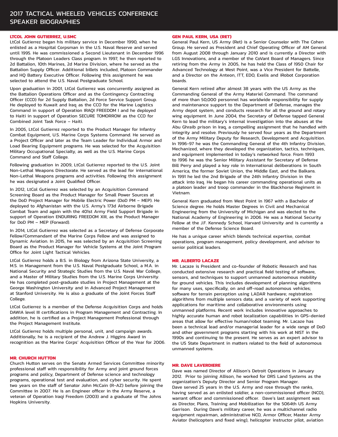#### 2017 TACTICAL WHEELED VEHICLES CONFERENCE SPEAKER BIOGRAPHIES

#### **LTCOL JOHN GUTIERREZ, U.SMC**

LtCol Gutierrez began his military service in December 1990, when he enlisted as a Hospital Corpsman in the U.S. Naval Reserve and served until 1995. He was commissioned a Second Lieutenant in December 1996 through the Platoon Leaders Class program. In 1997, he then reported to 2d Battalion, 10th Marines, 2d Marine Division, where he served as the Battalion Supply Officer. Additional billets included, Platoon Commander and HQ Battery Executive Officer. Following this assignment he was selected to attend the U.S. Naval Postgraduate School.

Upon graduation in 2001, LtCol Gutierrez was concurrently assigned as the Battalion Operations Officer and as the Contingency Contracting Officer (CCO) for 2d Supply Battalion, 2d Force Service Support Group. He deployed to Kuwait and Iraq as the CCO for the Marine Logistics Command in support of Operation IRAQI FREEDOM I and he deployed to Haiti in support of Operation SECURE TOMORROW as the CCO for Combined Joint Task Force – Haiti.

In 2005, LtCol Gutierrez reported to the Product Manager for Infantry Combat Equipment, U.S. Marine Corps Systems Command. He served as a Project Officer and later as the Team Leader for Individual Armor and Load Bearing Equipment programs. He was selected for the Acquisition Military Occupational Specialty, as well as the U.S. Marine Corps Command and Staff College.

Following graduation in 2009, LtCol Gutierrez reported to the U.S. Joint Non-Lethal Weapons Directorate. He served as the lead for international Non-Lethal Weapons programs and activities. Following this assignment he was designated a Joint Qualified Officer.

In 2012, LtCol Gutierrez was selected by an Acquisition Command Screening Board as the Product Manager for Small Power Sources at the DoD Project Manager for Mobile Electric Power (DoD PM – MEP). He deployed to Afghanistan with the U.S. Army's 173d Airborne Brigade Combat Team and again with the 401st Army Field Support Brigade in support of Operation ENDURING FREEDOM XIII, as the Product Manager for DoD PM – MEP (Forward).

In 2014, LtCol Gutierrez was selected as a Secretary of Defense Corporate Fellow/Commandant of the Marine Corps Fellow and was assigned to Dynamic Aviation. In 2015, he was selected by an Acquisition Screening Board as the Product Manager for Vehicle Systems at the Joint Program Office for Joint Light Tactical Vehicles.

LtCol Gutierrez holds a B.S. in Biology from Arizona State University, a M.S. in Management from the U.S. Naval Postgraduate School, a M.A. in National Security and Strategic Studies from the U.S. Naval War College, and a Master of Military Studies from the U.S. Marine Corps University. He has completed post-graduate studies in Project Management at the George Washington University and in Advanced Project Management at Stanford University. He is also a graduate of the Joint Forces Staff College.

LtCol Gutierrez is a member of the Defense Acquisition Corps and holds DAWIA level III certifications in Program Management and Contracting. In addition, he is certified as a Project Management Professional through the Project Management Institute.

LtCol Gutierrez holds multiple personal, unit, and campaign awards. Additionally, he is a recipient of the Andrew J. Higgins Award in recognition as the Marine Corps' Acquisition Officer of the Year for 2006.

#### **MR. CHURCH HUTTON**

Church Hutton serves on the Senate Armed Services Committee minority professional staff with responsibility for Army and joint ground forces programs and policy, Department of Defense science and technology programs, operational test and evaluation, and cyber security. He spent two years on the staff of Senator John McCain (R-AZ) before joining the Committee in 2007. He is an Engineer officer in the Army Reserve, a veteran of Operation Iraqi Freedom (2003) and a graduate of The Johns Hopkins University.

#### **GEN PAUL KERN, USA (RET)**

General Paul Kern, US Army (Ret) is a Senior Counselor with The Cohen Group. He served as President and Chief Operating Officer of AM General from August 2008 through January 2010 and is currently a Director with LGS Innovations, and a member of the CoVant Board of Managers. Since retiring from the Army in 2005, he has held the Class of 1950 Chair for Advanced Technology at West Point, was a Vice President for Battelle, and a Director on the Anteon, ITT, EDO, Exelis and iRobot Corporation boards.

General Kern retired after almost 38 years with the US Army as the Commanding General of the Army Materiel Command. The command of more than 50,000 personnel has worldwide responsibility for supply and maintenance support to the Department of Defense, manages the Army depot system, and conducts research for all the ground and rotary wing equipment. In June 2004, the Secretary of Defense tapped General Kern to lead the military's internal investigation into the abuses at the Abu Ghraib prison in Iraq, a compelling assignment that he handled with integrity and resolve. Previously he served four years as the Department of the Army Military Deputy for Research, Development and Acquisition. In 1996-97 he was the Commanding General of the 4th Infantry Division, Mechanized, where they developed the organization, tactics, techniques, and equipment implemented in today's networked force. From 1993 to 1996 he was the Senior Military Assistant for Secretary of Defense Bill Perry and played a key role in International deliberations in South America, the former Soviet Union, the Middle East, and the Balkans. In 1991 he led the 2nd Brigade of the 24th Infantry Division in the attack into Iraq. He began his career commanding operational units as a platoon leader and troop commander in the Blackhorse Regiment in Vietnam.

General Kern graduated from West Point in 1967 with a Bachelor of Science degree. He holds Master Degrees in Civil and Mechanical Engineering from the University of Michigan and was elected to the National Academy of Engineering in 2006. He was a National Security Fellow at the J.F. Kennedy School, Harvard University and is currently a member of the Defense Science Board.

He has a unique career which blends technical expertise, combat operations, program management, policy development, and advisor to senior political leaders.

#### **MR. ALBERTO LACAZE**

Mr. Lacaze is President and co-founder of Robotic Research and has conducted extensive research and practical field testing of software, sensors, and techniques to support unmanned autonomous mobility for ground vehicles. This includes development of planning algorithms for many uses, specifically, on and off-road autonomous vehicles; software for terrain perception using LADAR hardware; registration algorithms from multiple sensors data; and a variety of work supporting applications for maritime and collaborative environments using unmanned platforms. Recent work includes innovative approaches to highly accurate human and robot localization capabilities in GPS‐denied areas that allow for effective human/robot teaming. Mr. Lacaze has been a technical lead and/or managerial leader for a wide range of DoD and other government programs starting with his work at NIST in the 1990s and continuing to the present. He serves as an expert advisor to the US State Department in matters related to the field of autonomous unmanned systems.

#### **MR. DAVE LAVERDIERE**

Dave was named Director of Allison's Detroit Operations in January 2012. Prior to joining Allison, he worked for DRS Land Systems as the organization's Deputy Director and Senior Program Manager. Dave served 25 years in the U.S. Army and rose through the ranks, having served as an enlisted soldier, a non-commissioned officer (NCO), warrant officer and commissioned officer. Dave's last assignment was as Director, Plans, Training and Mobilization for the 5064th US Army Garrison. During Dave's military career, he was a multichannel radio equipment repairman, administrative NCO, Armor Officer, Master Army Aviator (helicopters and fixed wing), helicopter instructor pilot, aviation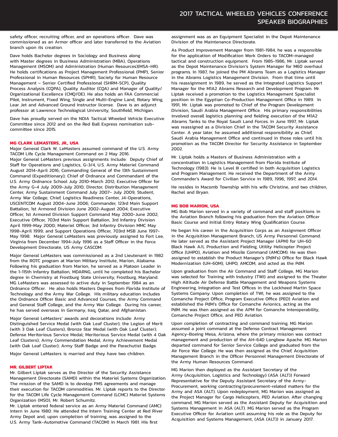safety officer, recruiting officer, and an operations officer. Dave was commissioned as an Armor officer and later transferred to the Aviation branch upon its creation.

Dave holds Bachelor degrees in Sociology and Business along with Master degrees in Business Administration (MBA), Operations Management (MSOM) and Administration (Human Resources)(MSA-HR). He holds certifications as Project Management Professional (PMP), Senior Professional in Human Resources (SPHR), Society for Human Resource Management – Senior Certified Professional (SHRM-SCP), Quality Process Analysis (CQPA), Quality Auditor (CQA) and Manager of Quality/ Organizational Excellence (CMQ/OE). He also holds an FAA Commercial Pilot, Instrument, Fixed Wing, Single and Multi-Engine Land, Rotary Wing, Lear Jet and Advanced Ground Instructor license. Dave is an adjunct professor at Lawrence Technological University, Southfield, Michigan.

Dave has proudly served on the NDIA Tactical Wheeled Vehicle Executive Committee since 2012 and on the Red Ball Express nomination subcommittee since 2015.

#### **MG CLARK LEMASTERS, JR., USA**

Major General Clark W. LeMasters assumed command of the U.S. Army TACOM Life Cycle Management Command on 2 May 2016. Major General LeMasters previous assignments include: Deputy Chief of Staff for Operations and Logistics, G-3/4, U.S. Army Materiel Command August 2014-April 2016; Commanding General of the 13th Sustainment Command (Expeditionary); Chief of Ordnance and Commandant of the U.S. Army Ordnance School July 2010-March 2012; Executive Officer for the Army G-4 July 2009-July 2010; Director, Distribution Management Center, Army Sustainment Command July 2007- July 2009; Student, Army War College; Chief, Logistics Readiness Center, J4-Operations, USCENTCOM August 2004-June 2006; Commander, 123rd Main Support Battalion, 1st Armored Division June 2002-August 2004; Executive Officer, 1st Armored Division Support Command May 2000-June 2002; Executive Officer, 703rd Main Support Battalion, 3rd Infantry Division April 1999-May 2000; Materiel Officer, 3rd Infantry Division MMC May 1998-April 1999; and Support Operations Officer, 703rd MSB June 1997- May 1998. Major General LeMasters was previously assigned to Fort Lee, Virginia from December 1994-July 1996 as a Staff Officer in the Force Development Directorate, US Army CASCOM.

Major General LeMasters was commissioned as a 2nd Lieutenant in 1982 from the ROTC program at Marion Military Institute, Marion, Alabama. Following his graduation from Marion, he served as a Platoon Leader in the 1-115th Infantry Battalion, MDARNG, until he completed his Bachelor degree in Chemistry at Frostburg State University, Frostburg, Maryland. MG LeMasters was assessed to active duty in September 1984 as an Ordnance Officer. He also holds Masters Degrees from Florida Institute of Technology and the Army War College. His military education includes the Ordnance Officer Basic and Advanced Courses, the Army Command and General Staff College, and the Army War College. During his career, he has served overseas in Germany, Iraq, Qatar, and Afghanistan.

Major General LeMasters' awards and decorations include: Army Distinguished Service Medal (with Oak Leaf Cluster); the Legion of Merit (with 3 Oak Leaf Clusters); Bronze Star Medal (with Oak Leaf Cluster); Defense Meritorious Service Medal; Meritorious Service Medal (with 4 Oak Leaf Clusters); Army Commendation Medal; Army Achievement Medal (with Oak Leaf Cluster); Army Staff Badge and the Parachutist Badge.

Major General LeMasters is married and they have two children.

#### **MR. GILBERT LIPTAK**

Mr. Gilbert Liptak serves as the Director of the Security Assistance Management Directorate (SAMD) within the Materiel Systems Organization. The mission of the SAMD is to develop FMS agreements and manage their execution for TACOM commodities. Mr. Liptak reports to the Director for the TACOM Life Cycle Management Command (LCMC) Materiel Systems Organization (MSO), Mr. Robert Schumitz.

Mr. Liptak entered federal service as an Army Materiel Command (AMC) intern in June 1980. He attended the Intern Training Center at Red River Army Depot and, upon completion of training, was assigned to the U.S. Army Tank-Automotive Command (TACOM) in March 1981. His first

assignment was as an Equipment Specialist in the Depot Maintenance Division of the Maintenance Directorate.

As Product Improvement Manager from 1981-1984, he was a responsible for the application of Modification Work Orders to TACOM-managed tactical and construction equipment. From 1985-1986, Mr. Liptak served as the Depot Maintenance Division's System Manager for M60 overhaul programs. In 1987, he joined the PM Abrams Team as a Logistics Manager in the Abrams Logistics Management Division. From that time until his reassignment in 1989, he served as the Integrated Logistics Support Manager for the M1A2 Abrams Research and Development Program. Mr. Liptak received a promotion to the Logistics Management Specialist position in the Egyptian Co-Production Management Office in 1989. In 1991, Mr. Liptak was promoted to Chief of the Program Development Division, Saudi Arabia Management Office. His primary responsibilities involved overall logistics planning and fielding execution of the M1A2 Abrams Tanks to the Royal Saudi Land Forces. In June 1997, Mr. Liptak was reassigned as a Division Chief in the TACOM Security Assistance Center. A year later, he assumed additional responsibility as Chief, Saudi Arabia Management Office and continued in those roles until his promotion as the TACOM Director for Security Assistance in September 2002.

Mr. Liptak holds a Masters of Business Administration with a concentration in Logistics Management from Florida Institute of Technology (1983). He is Level III certified in both Acquisition Logistics and Program Management. He received the Department of the Army Commander's Award for Civilian Service in 1989, 1996, 1997, and 2014.

He resides in Macomb Township with his wife Christine, and two children, Rachel and Bryan.

#### **MG BOB MARION, USA**

MG Bob Marion served in a variety of command and staff positions in the Aviation Branch following his graduation from the Aviation Officer Basic Course and Initial Entry Rotary Wing Qualification Course.

He began his career in the Acquisition Corps as an Assignment Officer in the Acquisition Management Branch, US Army Personnel Command. He later served as the Assistant Project Manager (APM) for UH-60 Black Hawk A/L Production and Fielding, Utility Helicopter Project Office (UHPO), Aviation and Missile Command (AMCOM). He was then assigned to establish the Product Manager's (PdM's) Office for Black Hawk Modernization (UH-60M), UHPO, AMCOM, and acted as the PdM.

Upon graduation from the Air Command and Staff College, MG Marion was selected for Training with Industry (TWI) and assigned to the Theater High Altitude Air Defense Battle Management and Weapons Systems Engineering, Integration and Test Offices in the Lockheed Martin Space Systems Company. Upon completion of TWI, he was assigned to the Comanche Project Office, Program Executive Office (PEO) Aviation and established the PdM's Office for Comanche Avionics, acting as the PdM. He was then assigned as the APM for Comanche Interoperability, Comanche Project Office, and PEO Aviation.

Upon completion of contracting and command training, MG Marion assumed a joint command at the Defense Contract Management Agency-Boeing Mesa, Arizona, where the primary mission was contract management and production of the AH-64D Longbow Apache. MG Marion departed command for Senior Service College and graduated from the Air Force War College. He was then assigned as the Chief, Acquisition Management Branch in the Officer Personnel Management Directorate of the Army Human Resources Command.

MG Marion then deployed as the Assistant Secretary of the Army (Acquisition, Logistics and Technology) (ASA (ALT)) Forward Representative for the Deputy Assistant Secretary of the Army-Procurement, working contracting/procurement-related matters for the Army and ASA (ALT). Upon redeployment, MG Marion was assigned as the Project Manager for Cargo Helicopters, PEO Aviation. After changing command, MG Marion served as the Assistant Deputy for Acquisition and Systems Management in ASA (ALT). MG Marion served as the Program Executive Officer for Aviation until assuming his role as the Deputy for Acquisition and Systems Management, (ASA (ALT)) in January 2017.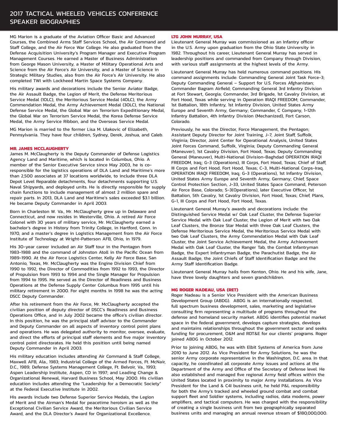MG Marion is a graduate of the Aviation Officer Basic and Advanced Courses, the Combined Arms Staff Services School, the Air Command and Staff College, and the Air Force War College. He also graduated from the Defense Acquisition University's Program Manager and Executive Program Management Courses. He earned a Master of Business Administration from George Mason University, a Master of Military Operational Arts and Science from the Air Force's Air University, and a Master of Science in Strategic Military Studies, also from the Air Force's Air University. He also completed TWI with Lockheed Martin Space Systems Company.

His military awards and decorations include the Senior Aviator Badge, the Air Assault Badge, the Legion of Merit, the Defense Meritorious Service Medal (1OLC), the Meritorious Service Medal (4OLC), the Army Commendation Medal, the Army Achievement Medal (3OLC), the National Defense Service Medal, the Global War on Terrorism Expeditionary Medal, the Global War on Terrorism Service Medal, the Korea Defense Service Medal, the Army Service Ribbon, and the Overseas Service Medal.

MG Marion is married to the former Lisa M. Ulakovic of Elizabeth, Pennsylvania. They have four children, Sydney, Derek, Joshua, and Caleb.

#### **MR. JAMES MCCLAUGHERTY**

James M. McClaugherty is the Deputy Commander of Defense Logistics Agency Land and Maritime, which is located in Columbus, Ohio. A member of the Senior Executive Service since May 2003, he is coresponsible for the logistics operations of DLA Land and Maritime's more than 2,500 associates at 37 locations worldwide, to include three DLA Depot Level Reparable detachments, four detachments supporting U.S. Naval Shipyards, and deployed units. He is directly responsible for supply chain functions to include management of almost 2 million spare and repair parts. In 2013, DLA Land and Maritime's sales exceeded \$3.1 billion. He became Deputy Commander in April 2003.

Born in Charleston W. Va., Mr. McClaugherty grew up in Delaware and Connecticut, and now resides in Westerville, Ohio. A retired Air Force Colonel with 30 years of military service, Mr. McClaugherty earned a bachelor's degree in History from Trinity College, in Hartford, Conn. in 1970, and a master's degree in Logistics Management from the Air Force Institute of Technology at Wright-Patterson AFB, Ohio, in 1979.

His 30-year career included an Air Staff tour in the Pentagon from 1983-1988 and the command of Johnston Atoll in the Pacific Ocean from 1989-1990. At the Air Force Logistics Center, Kelly Air Force Base, San Antonio, Texas, Mr. McClaugherty was the Engine Division Chief from 1990 to 1992, the Director of Commodities from 1992 to 1993, the Director of Propulsion from 1993 to 1994 and the Single Manager for Propulsion from 1994 to 1995. He served as the Director of Readiness and Business Operations at the Defense Supply Center Columbus from 1995 until his military retirement in 2000. For eight months in 1998 he was the acting DSCC Deputy Commander.

After his retirement from the Air Force, Mr. McClaugherty accepted the civilian position of deputy director of DSCC's Readiness and Business Operations Office, and in July 2002 became the office's civilian director. In this position, he was the principal staff advisor to the Commander and Deputy Commander on all aspects of inventory control point plans and operations. He was delegated authority to monitor, oversee, evaluate, and direct the efforts of principal staff elements and five major inventory control point directorates. He held this position until being named Deputy Commander in April 2003.

His military education includes attending Air Command & Staff College, Maxwell AFB, Ala., 1983; Industrial College of the Armed Forces, Ft. McNair, D.C., 1989; Defense Systems Management College, Ft. Belvoir, Va., 1993; Aspen Leadership Institute, Aspen, CO in 1997; and Leading Change & Organizational Renewal, Harvard Business School, May 2000. His civilian education includes attending the "Leadership for a Democratic Society" at the Federal Executive Institute in 2002.

His awards include two Defense Superior Service Medals, the Legion of Merit and the Airman's Medal for peacetime heroism as well as the Exceptional Civilian Service Award, the Meritorious Civilian Service Award, and the DLA Director's Award for Organizational Excellence.

#### **LTG JOHN MURRAY, USA**

Lieutenant General Murray was commissioned as an Infantry officer in the U.S. Army upon graduation from the Ohio State University in 1982. Throughout his career, Lieutenant General Murray has served in leadership positions and commanded from Company through Division, with various staff assignments at the highest levels of the Army.

Lieutenant General Murray has held numerous command positions. His command assignments include: Commanding General Joint Task Force-3; Deputy Commanding General – Support for U.S. Forces Afghanistan; Commander Bagram Airfield; Commanding General 3rd Infantry Division at Fort Stewart, Georgia; Commander, 3rd Brigade, 1st Cavalry Division, at Fort Hood, Texas while serving in Operation IRAQI FREEDOM; Commander, 1st Battalion, 18th Infantry, 1st Infantry Division, United States Army Europe and Seventh Army, Germany; Commander, C Company, 1-12th Infantry Battalion, 4th Infantry Division (Mechanized), Fort Carson, Colorado.

Previously, he was the Director, Force Management, the Pentagon; Assistant Deputy Director for Joint Training, J-7, Joint Staff, Suffolk, Virginia; Director, Joint Center for Operational Analysis, United States Joint Forces Command, Suffolk, Virginia; Deputy Commanding General (Maneuver), 1st Cavalry Division, Fort Hood, Texas; Deputy Commanding General (Maneuver), Multi-National Division-Baghdad OPERATION IRAQI FREEDOM, Iraq; G-3 (Operations), III Corps, Fort Hood, Texas; Chief of Staff, III Corps and Fort Hood, Fort Hood, Texas; C-3, Multi-National Corps-Iraq, OPERATION IRAQI FREEDOM, Iraq; G-3 (Operations), 1st Infantry Division, United States Army Europe and Seventh Army, Germany; Chief, Space Control Protection Section, J-33, United States Space Command, Peterson Air Force Base, Colorado; S-3(Operations), later Executive Officer, 1st Battalion, 5th Cavalry, 1st Cavalry Division, Fort Hood, Texas; Chief, Plans, G-1, III Corps and Fort Hood, Fort Hood, Texas.

Lieutenant General Murray's awards and decorations include: the Distinguished Service Medal w/ Oak Leaf Cluster, the Defense Superior Service Medal with Oak Leaf Cluster, the Legion of Merit with two Oak Leaf Clusters, the Bronze Star Medal with three Oak Leaf Clusters, the Defense Meritorious Service Medal, the Meritorious Service Medal with two Oak Leaf Clusters, the Army Commendation Medal with Oak Leaf Cluster, the Joint Service Achievement Medal, the Army Achievement Medal with Oak Leaf Cluster, the Ranger Tab, the Combat Infantryman Badge, the Expert Infantryman Badge, the Parachutist Badge, the Air Assault Badge, the Joint Chiefs of Staff Identification Badge and the Army Staff Identification Badge.

Lieutenant General Murray hails from Kenton, Ohio. He and his wife, Jane, have three lovely daughters and seven grandchildren.

#### **MG ROGER NADEAU, USA (RET)**

Roger Nadeau is a Senior Vice President with the American Business Development Group (ABDG). ABDG is an internationally respected, full spectrum business development, sales, marketing and legislative consulting firm representing a multitude of programs throughout the defense and homeland security market. ABDG identifies potential market space in the federal government, develops capture strategies, develops and maintains relationships throughout the government sector and seeks funding for procurement, O&M and RDT&E for our clients' programs. Roger joined ABDG in October 2012.

Prior to joining ABDG, he was with Elbit Systems of America from June 2010 to June 2012. As Vice President for Army Solutions, he was the senior Army corporate representative in the Washington, D.C. area. In that capacity, he coordinated all corporate Army issues and actions at the Department of the Army and Office of the Secretary of Defense level. He also established and managed five regional Army field offices within the United States located in proximity to major Army installations. As Vice President for the Land & C4I business unit, he held P&L responsibility for both the Army's tracked and wheeled ground combat and combat support fleet and Soldier systems, including radios, data modems, power amplifiers, and tactical computers. He was charged with the responsibility of creating a single business unit from two geographically separated business units and managing an annual revenue stream of \$180,000,000.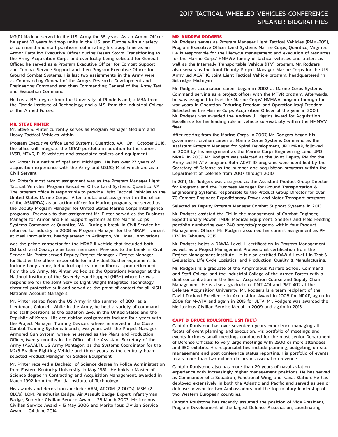#### 2017 TACTICAL WHEELED VEHICLES CONFERENCE SPEAKER BIOGRAPHIES

MG(R) Nadeau served in the U.S. Army for 36 years. As an Armor Officer, he spent 18 years in troop units in the U.S. and Europe with a variety of command and staff positions, culminating his troop time as an Armor Battalion Executive Officer during Desert Storm. Transitioning to the Army Acquisition Corps and eventually being selected for General Officer, he served as a Program Executive Officer for Combat Support and Combat Service Support and then Program Executive Officer for Ground Combat Systems. His last two assignments in the Army were as Commanding General of the Army's Research, Development and Engineering Command and then Commanding General of the Army Test and Evaluation Command.

He has a B.S. degree from the University of Rhode Island; a MBA from the Florida Institute of Technology; and a M.S. from the Industrial College of the Armed Forces.

#### **MR. STEVE PINTER**

Mr. Steve S. Pinter currently serves as Program Manager Medium and Heavy Tactical Vehicles within

Program Executive Office Land Systems, Quantico, VA. On 1 October 2016, the office will integrate the MRAP portfolio in addition to the current LVSR, MTVR, P-19 vehicles and associated trailers and equipment.

Mr. Pinter is a native of Ypsilanti, Michigan. He has over 27 years of acquisition experience with the Army and USMC; 14 of which are as a Civil Servant.

Mr. Pinter's most recent assignment was as the Program Manager Light Tactical Vehicles, Program Executive Office Land Systems, Quantico, VA. The program office is responsible to provide Light Tactical Vehicles to the United States Marine Corps. After a rotational assignment in the office of the ASN(RDA) as an action officer for Marine programs, he served as the Deputy Program Manager for United States Marine Corps Intelligence programs. Previous to that assignment Mr. Pinter served as the Business Manager for Armor and Fire Support Systems at the Marine Corps Systems Command at Quantico, VA. During a break in Civil Service he returned to industry in 2008 as Program Manager for the MRAP II variant at Ideal Innovations, headquartered in Arlington, VA. Ideal Innovations

was the prime contractor for the MRAP II vehicle that included both Oshkosh and Ceradyne as team members. Previous to the break in Civil Service Mr. Pinter served Deputy Project Manager / Project Manager for Soldier, the office responsible for individual Soldier equipment, to include body armor, individual optics and uniforms. Upon retirement from the US Army, Mr. Pinter worked as the Operations Manager at the National Institute of the Severely Handicapped (NISH) where he was responsible for the Joint Service Light Weight Integrated Technology chemical protective suit and served as the point of contact for all NISH National Account Managers.

Mr. Pinter retired from the US Army in the summer of 2001 as a Lieutenant Colonel. While in the Army, he held a variety of command and staff positions at the battalion level in the United States and the Republic of Korea. His acquisition assignments include four years with the Project Manager, Training Devices, where he served in the Close Combat Training Systems branch, two years with the Project Manager, Armored Gun System, where he served as the Plans and Production Officer, twenty months in the Office of the Assistant Secretary of the Army (ASAALT), US Army Pentagon, as the Systems Coordinator for the M2/3 Bradley Fighting Vehicle and three years as the centrally board selected Product Manager for Soldier Equipment.

Mr. Pinter received a Bachelor of Science degree in Police Administration from Eastern Kentucky University in May 1981. He holds a Master of Science degree in Contracting and Acquisition Management, awarded in March 1992 from the Florida Institute of Technology.

His awards and decorations include; AAM, ARCOM (2 OLC's), MSM (2 OLC's), LOM, Parachutist Badge, Air Assault Badge, Expert Infantryman Badge, Superior Civilian Service Award - 28 March 2003, Meritorious Civilian Service Award - 15 May 2006 and Meritorious Civilian Service Award – 04 June 2014.

#### **MR. ANDREW RODGERS**

Mr. Rodgers serves as Program Manager Light Tactical Vehicles (PMM-205), Program Executive Officer Land Systems Marine Corps, Quantico, Virginia. He is responsible for the lifecycle management and execution of resources for the Marine Corps' HMMWV family of tactical vehicles and trailers as well as the Internally Transportable Vehicle (ITV) program. Mr. Rodgers also serves as the Joint Deputy Project Manager-Marine Corps for the U.S. Army led ACAT IC Joint Light Tactical Vehicle program, headquartered in Selfridge, Michigan.

Mr. Rodgers acquisition career began in 2002 at Marine Corps Systems Command serving as a project officer with the MTVR program. Afterwards, he was assigned to lead the Marine Corps' HMMWV program through the war years in Operation Enduring Freedom and Operation Iraqi Freedom. Selected as the Marine Corps Acquisition Officer of the year in 2004, Mr. Rodgers was awarded the Andrew J. Higgins Award for Acquisition Excellence for his leading role in vehicle survivability within the HMMWV fleet.

After retiring from the Marine Corps in 2007, Mr. Rodgers began his government civilian career at Marine Corps Systems Command as the Assistant Program Manager for Spiral Development, JPO MRAP, followed in 2008 by his assignment as the Marine Corps Engineering Lead, JPO MRAP. In 2009 Mr. Rodgers was selected as the Joint Deputy PM for the Army led M-ATV program. Both ACAT-ID programs were identified by the Secretary of Defense as the number one acquisition programs within the Department of Defense from 2007 through 2010.

In 2011, Mr. Rodgers was assigned as the Assistant Product Group Director for Programs and the Business Manager for Ground Transportation & Engineering Systems, responsible to the Product Group Director for over 70 Combat Engineer, Expeditionary Power and Motor Transport programs.

Selected as Deputy Program Manager Combat Support Systems in 2013,

Mr. Rodgers assisted the PM in the management of Combat Engineer, Expeditionary Power, TMDE, Medical Equipment, Shelters and Field Feeding portfolio numbering over 240 projects/programs within four Product Management Offices. Mr. Rodgers assumed his current assignment as PM LTV in February 2015.

Mr. Rodgers holds a DAWIA Level III certification in Program Management, as well as a Project Management Professional certification from the Project Management Institute. He is also certified DAWIA Level I in Test & Evaluation, Life Cycle Logistics, and Production, Quality & Manufacturing.

Mr. Rodgers is a graduate of the Amphibious Warfare School, Command and Staff College and the Industrial College of the Armed Forces with a dual concentration in the Senior Acquisition Course and Supply Chain Management. He is also a graduate of PMT 401 and PMT 402 at the Defense Acquisition University. Mr. Rodgers is a team recipient of the David Packard Excellence in Acquisition Award in 2008 for MRAP, again in 2009 for M-ATV and again in 2015 for JLTV. Mr. Rodgers was awarded the Meritorious Civilian Service Medal in 2009 and again in 2015.

#### **CAPT D. BRUCE ROULSTONE, USN (RET.)**

Captain Roulstone has over seventeen years experience managing all facets of event planning and execution. His portfolio of meetings and events includes small meetings conducted for the most senior Department of Defense Officials to very large meetings with 2500 or more attendees and 350 exhibits. His responsibilities include planning, budgeting, on site management and post conference status reporting. His portfolio of events totals more than two million dollars in association revenue.

Captain Roulstone also has more than 29 years of naval aviation experience with increasingly higher management positions. He has served as Commander of a Squadron, Functional Wing, and Naval Station. He has deployed extensively in both the Atlantic and Pacific and served as senior defense advisor for two Ambassadors and the top military leadership of two Western European countries.

Captain Roulstone has recently assumed the position of Vice President, Program Development of the largest Defense Association, coordinating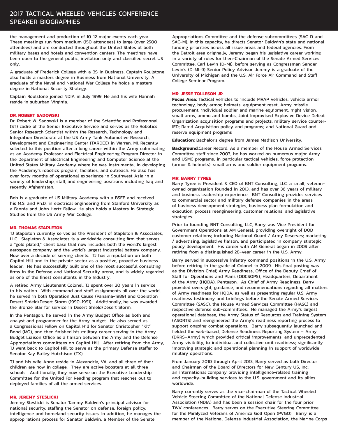the management and production of 10-12 major events each year. These meetings run from medium (150 attendees) to large (over 2500 attendees) and are conducted throughout the United States at both military bases and hotels and convention centers. The meetings have been open to the general public, invitation only and classified secret US only.

A graduate of Frederick College with a BS in Business, Captain Roulstone also holds a masters degree in Business from National University. A graduate of the Naval and National War College he holds a masters degree in National Security Strategy.

Captain Roulstone joined NDIA in July 1999. He and his wife Hannah reside in suburban Virginia.

#### **DR. ROBERT SADOWSKI**

Dr. Robert W. Sadowski is a member of the Scientific and Professional (ST) cadre of the Senior Executive Service and serves as the Robotics Senior Research Scientist within the Research, Technology and Integration Directorate at the US Army Tank Automotive Research, Development and Engineering Center (TARDEC) in Warren, MI. Recently selected to this position after a long career within the Army culminating as an Academy Professor and Electrical Engineering Program Director in the Department of Electrical Engineering and Computer Science at the United States Military Academy where he was instrumental in developing the Academy's robotics program, facilities, and outreach. He also has over forty months of operational experience in Southwest Asia in a variety of leadership, staff, and engineering positions including Iraq and recently Afghanistan.

Bob is a graduate of US Military Academy with a BSEE and received his M.S. and Ph.D. in electrical engineering from Stanford University as a Fannie and John Hertz Fellow. He also holds a Masters in Strategic Studies from the US Army War College.

#### **MR. THOMAS STAPLETON**

TJ Stapleton currently serves as the President of Stapleton & Associates, LLC. Stapleton & Associates is a worldwide consulting firm that serves a "gold plated," client base that now includes both the world's largest aerospace company and the world's largest industrial battery company. Now over a decade of serving clients. TJ has a reputation on both Capitol Hill and in the private sector as a positive, proactive business leader. He has successfully built one of the most successful consulting firms in the Defense and National Security arena, and is widely regarded as one of the finest consultants in the Industry.

A retired Army Lieutenant Colonel, TJ spent over 20 years in service to his nation. With command and staff assignments all over the world, he served in both Operation Just Cause (Panama-1989) and Operation Desert Shield/Desert Storm (1990-1991). Additionally, he was awarded the Bronze Star for service in Desert Shield/Desert Storm.

In the Pentagon, he served in the Army Budget Office as both and analyst and programmer for the Army budget. He also served as a Congressional Fellow on Capitol Hill for Senator Christopher "Kit" Bond (MO), and then finished his military career serving in the Army Budget Liaison Office as a liaison between the Army and the Defense Appropriations committees on Capitol Hill. After retiring from the Army, TJ went back to Capitol Hill to serve as the primary Defense staffer to Senator Kay Bailey Hutchison (TX).

TJ and his wife Anne reside in Alexandria, VA, and all three of their children are now in college. They are active boosters at all three schools. Additionally, they now serve on the Executive Leadership Committee for the United For Reading program that reaches out to deployed families of all the armed services.

#### **MR. JEREMY STESLICKI**

Jeremy Steslicki is Senator Tammy Baldwin's principal advisor for national security, staffing the Senator on defense, foreign policy, intelligence and homeland security issues. In addition, he manages the appropriations process for Senator Baldwin, a Member of the Senate

Appropriations Committee and the defense subcommittees (SAC-D and SAC-M). In this capacity, he directs Senator Baldwin's state and national funding priorities across all issue areas and federal agencies. From the Detroit area originally, Jeremy began his legislative career working in a variety of roles for then-Chairman of the Senate Armed Services Committee, Carl Levin (D-MI), before serving as Congressman Sander Levin's (D-MI-9) Senior Policy Advisor. Jeremy is a graduate of the University of Michigan and the U.S. Air Force Air Command and Staff College Seminar Program.

#### **MR. JESSE TOLLESON JR.**

**Focus Area:** Tactical vehicles to include MRAP vehicles, vehicle armor technology, body armor, helmets, equipment reset, Army missile procurement, individual soldier and marine equipment, night vision, small arms, ammo and bombs, Joint Improvised Explosive Device Defeat Organization acquisition programs and projects, military service counter-IED; Rapid Acquisition policy and programs; and National Guard and reserve equipment programs

**Education:** Bachelor's degree from James Madison University.

**Background:**Career Record: As a member of the House Armed Services Committee staff since 2003, he has worked on numerous major Army and USMC programs, in particular tactical vehicles, force protection (armor & helmets), small arms and soldier equipment programs.

#### **MR. BARRY TYREE**

Barry Tyree is President & CEO of BNT Consulting, LLC, a small, veteranowned organization founded in 2013, and has over 36 years of military and business leadership experience. BNT Consulting provides services to commercial sector and military defense companies in the areas of business development strategies, business plan formulation and execution, process reengineering, customer relations, and legislative strategies.

Prior to founding BNT Consulting, LLC, Barry was Vice President for Government Operations at AM General, providing oversight of DOD customer relations; including National Guard / Army Reserves; marketing / advertising, legislative liaison, and participated in company strategic policy development. His career with AM General began in 2009 after retiring from a distinguished 28-year career in the U.S. Army.

Barry served in successive infantry command positions in the U.S. Army before retiring in the grade of Colonel in 2009. His final posting was as the Division Chief, Army Readiness, Office of the Deputy Chief of Staff for Operations and Plans (ODCSOPS), Headquarters, Department of the Army (HQDA), Pentagon. As Chief of Army Readiness, Barry provided oversight, guidance, and recommendations regarding all matters of Army readiness for HQDA, as well as presenting regular U.S. Army readiness testimony and briefings before the Senate Armed Services Committee (SASC), the House Armed Services Committee (HASC) and respective defense sub-committees. He managed the Army's largest operational database, the Army Status of Resources and Training System (ASORTS) and reengineered the Army's readiness reporting process to support ongoing combat operations. Barry subsequently launched and fielded the web-based, Defense Readiness Reporting System – Army (DRRS–Army) which provided critical improvements, and unprecedented Army visibility, to individual and collective unit readiness; significantly improving strategic and operational planning in support of worldwide military operations.

From January 2010 through April 2013, Barry served as both Director and Chairman of the Board of Directors for New Century US, Inc.; an international company providing intelligence-related training and capacity-building services to the U.S. government and its allies worldwide.

Barry currently serves as the vice-chairman of the Tactical Wheeled Vehicle Steering Committee of the National Defense Industrial Association (NDIA) and has been a session chair for the four prior TWV conferences. Barry serves on the Executive Steering Committee for the Paralyzed Veterans of America Golf Open (PVGO). Barry is a member of the National Defense Industrial Association, the Marine Corps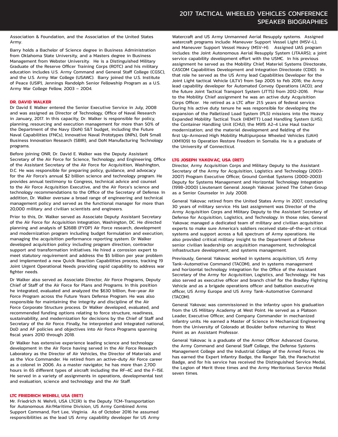Association & Foundation, and the Association of the United States Army.

Barry holds a Bachelor of Science degree in Business Administration from Oklahoma State University, and a Masters degree in Business Management from Webster University. He is a Distinguished Military Graduate of the Reserve Officer Training Corps (ROTC) and his military education includes U.S. Army Command and General Staff College (CGSC), and the U.S. Army War College (USAWC). Barry joined the U.S. Institute of Peace (USIP), Jennings Randolph Senior Fellowship Program as a U.S. Army War College Fellow, 2003 – 2004.

#### **DR. DAVID WALKER**

Dr David E Walker entered the Senior Executive Service in July, 2008 and was assigned as Director of Technology, Office of Naval Research in January, 2017. In this capacity, Dr. Walker is responsible for policy, planning, resourcing and execution management for more than 50% of the Department of the Navy (DoN) S&T budget, including the Future Naval Capabilities (FNCs), Innovative Naval Prototypes (INPs), DoN Small Business Innovation Research (SBIR), and DoN Manufacturing Technology programs.

Before joining ONR, Dr. David E. Walker was the Deputy Assistant Secretary of the Air Force for Science, Technology, and Engineering, Office of the Assistant Secretary of the Air Force for Acquisition, Washington, D.C. He was responsible for preparing policy, guidance, and advocacy for the Air Force's annual \$2 billion science and technology program. He provides annual testimony to Congress, technical advice and counsel to the Air Force Acquisition Executive, and the Air Force's science and technology recommendations to the Office of the Secretary of Defense. In addition, Dr. Walker oversaw a broad range of engineering and technical management policy and served as the functional manager for more than 20,000 military and civilian scientists and engineers.

Prior to this, Dr. Walker served as Associate Deputy Assistant Secretary of the Air Force for Acquisition Integration, Washington, DC. He directed planning and analysis of \$268B (FYDP) Air Force research, development and modernization program including budget formulation and execution; managing the acquisition performance reporting system. Dr Walker developed acquisition policy including program direction, contractor support and transformation initiatives. He hired a corrosion expert to meet statutory requirement and address the \$5 billion per year problem and implemented a new Quick Reaction Capabilities process, tracking 19 Joint Urgent Operational Needs providing rapid capability to address war fighter needs.

Dr Walker also served as Associate Director, Air Force Programs, Deputy Chief of Staff of the Air Force for Plans and Programs. In this position he integrated, evaluated and analyzed the \$630 billion, five-year Air Force Program across the Future Years Defense Program. He was also responsible for maintaining the integrity and discipline of the Air Force Corporate Structure process. Dr Walker developed, evaluated, and recommended funding options relating to force structure, readiness, sustainability, and modernization for decisions by the Chief of Staff and Secretary of the Air Force. Finally, he interpreted and integrated national, DoD and AF policies and objectives into Air Force Programs spanning fiscal years 2010 through 2018.

Dr Walker has extensive experience leading science and technology development in the Air Force having served in the Air Force Research Laboratory as the Director of Air Vehicles, the Director of Materials and as the Vice Commander. He retired from an active-duty Air Force career as a colonel in 2006. As a master navigator, he has more than 2,700 hours in 65 different types of aircraft including the RF-4C and the F-15E. He served in a variety of assignments in operations, developmental test and evaluation, science and technology and the Air Staff.

#### **LTC FRIEDRICH WEHRLI, USA (RET)**

Mr. Friedrich N. Wehrli, USA LTC(R) is the Deputy TCM-Transportation for Autonomous Air/Maritime Division, US Army Combined Arms Support Command, Fort Lee, Virginia. As of October 2016 he assumed responsibilities as the lead US Army capability developer for US Army Watercraft and US Army Unmanned Aerial Resupply systems. Assigned watercraft programs include: Maneuver Support Vessel Light (MSV-L), and Maneuver Support Vessel Heavy (MSV-H). Assigned UAS program includes: the Joint Autonomous Aerial Resupply System (JTAARS); a joint service capability development effort with the USMC. In his previous assignment he served as the Mobility Chief, Materiel Systems Directorate, CASCOM Capabilities Development and Integration Directorate (CDID). In that role he served as the US Army lead Capabilities Developer for the Joint Light tactical Vehicle (JLTV) from Sep 2005 to Feb 2016; the Army lead capability developer for Automated Convoy Operations (ACO); and the future Joint Tactical Transport System (JTTS) from 2012-2016. Prior to the Mobility Chief assignment he was an active duty Acquisition Corps Officer. He retired as a LTC after 21.5 years of federal service. During his active duty tenure he was responsible for developing the expansion of the Palletized Load System (PLS) missions into the Heavy Expanded Mobility Tactical Truck (HEMTT) Load Handling System (LHS); the Container Handling Unit (CHU); the M915 A2-4 Line Haul tractor modernization; and the materiel development and fielding of the first Up-Armored High Mobility Multipurpose Wheeled Vehicles (UAH) (XM1109) to Operation Restore Freedom in Somalia. He is a graduate of the University of Connecticut.

#### **LTG JOSEPH YAKOVAC, USA (RET)**

Director, Army Acquisition Corps and Military Deputy to the Assistant Secretary of the Army for Acquisition, Logistics and Technology (2003- 2007) Program Executive Officer, Ground Combat Systems (2000-2003) Deputy for Systems Management and Horizontal Technology Integration (1998-2000) Lieutenant General Joseph Yakovac joined The Cohen Group as a Senior Counselor in July 2008.

General Yakovac retired from the United States Army in 2007, concluding 30 years of military service. His last assignment was Director of the Army Acquisition Corps and Military Deputy to the Assistant Secretary of Defense for Acquisition, Logistics, and Technology. In those roles, General Yakovac managed a dedicated team of military and civilian acquisition experts to make sure America's soldiers received state-of-the-art critical systems and support across a full spectrum of Army operations. He also provided critical military insight to the Department of Defense senior civilian leadership on acquisition management, technological infrastructure development, and systems management.

Previously, General Yakovac worked in systems acquisition, US Army Tank-Automotive Command (TACOM), and in systems management and horizontal technology integration for the Office of the Assistant Secretary of the Army for Acquisition, Logistics, and Technology. He has also served as executive officer and branch chief for the Bradley Fighting Vehicle and as a brigade operations officer and battalion executive officer, US Army Europe and US Army Tank-Automotive Command (TACOM).

General Yakovac was commissioned in the infantry upon his graduation from the US Military Academy at West Point. He served as a Platoon Leader, Executive Officer, and Company Commander in mechanized infantry units. He earned a Master of Science in Mechanical Engineering from the University of Colorado at Boulder before returning to West Point as an Assistant Professor.

General Yakovac is a graduate of the Armor Officer Advanced Course, the Army Command and General Staff College, the Defense Systems Management College and the Industrial College of the Armed Forces. He has earned the Expert Infantry Badge, the Ranger Tab, the Parachutist Badge, and for his service has received the Distinguished Service Medal, the Legion of Merit three times and the Army Meritorious Service Medal seven times.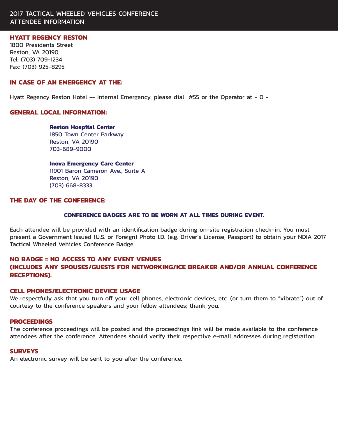#### 2017 TACTICAL WHEELED VEHICLES CONFERENCE ATTENDEE INFORMATION

#### **HYATT REGENCY RESTON**

1800 Presidents Street Reston, VA 20190 Tel: (703) 709-1234 Fax: (703) 925-8295

#### **IN CASE OF AN EMERGENCY AT THE:**

Hyatt Regency Reston Hotel -- Internal Emergency, please dial #55 or the Operator at - O -

#### **GENERAL LOCAL INFORMATION:**

**Reston Hospital Center 1850 Town Center Parkway**  Reston, VA 20190 703-689-9000

#### **Inova Emergency Care Center**

11901 Baron Cameron Ave., Suite A Reston, VA 20190 (703) 668-8333

#### **THE DAY OF THE CONFERENCE:**

#### **CONFERENCE BADGES ARE TO BE WORN AT ALL TIMES DURING EVENT.**

Each attendee will be provided with an identification badge during on-site registration check-in. You must present a Government Issued (U.S. or Foreign) Photo I.D. (e.g. Driver's License, Passport) to obtain your NDIA 2017 Tactical Wheeled Vehicles Conference Badge.

#### **NO BADGE = NO ACCESS TO ANY EVENT VENUES**

#### **(INCLUDES ANY SPOUSES/GUESTS FOR NETWORKING/ICE BREAKER AND/OR ANNUAL CONFERENCE RECEPTIONS).**

#### **CELL PHONES/ELECTRONIC DEVICE USAGE**

We respectfully ask that you turn off your cell phones, electronic devices, etc. (or turn them to "vibrate") out of courtesy to the conference speakers and your fellow attendees; thank you.

#### **PROCEEDINGS**

The conference proceedings will be posted and the proceedings link will be made available to the conference attendees after the conference. Attendees should verify their respective e-mail addresses during registration.

#### **SURVEYS**

An electronic survey will be sent to you after the conference.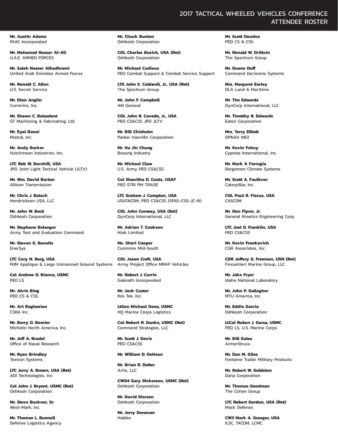**Mr. Austin Adams**  FAAC Incorporated

**Mr. Mohamed Nasser Al-Ali**  U.A.E. ARMED FORCES

**Mr. Saleh Nasser Alhadhrami**  United Arab Emirates Armed Forces

**Mr. Ronald C. Allen**  U.S. Secret Service

**Mr. Dion Anglin**  Cummins, Inc.

**Mr. Shawn C. Balesdent**  GT Machining & Fabricating, Ltd.

**Mr. Eyal Banai**  Mistral, Inc.

**Mr. Andy Barker**  Hutchinson Industries, Inc.

**LTC Rob W. Barnhill, USA**  JPO Joint Light Tactical Vehicle (JLTV)

**Mr. Wm. David Barton**  Allison Transmission

**Mr. Chris J. Batsch**  Hendrickson USA, LLC

**Mr. John W. Beck**  Oshkosh Corporation

**Mr. Stephane Belanger**  Army Test and Evaluation Command

**Mr. Steven G. Benulis**  EnerSys

**LTC Cory N. Berg, USA**  PdM Applique & Large Unmanned Ground Systems

**Col Andrew D. Bianca, USMC**  PEO LS

**Mr. Alvin Bing**  PEO CS & CSS

**Mr. Art Boghozian**  CSRA Inc.

**Mr. Barry D. Bomier**  Michelin North America, Inc.

**Mr. Jeff A. Bradel**  Office of Naval Research

**Mr. Ryan Brindley**  Textron Systems

**LTC Jerry A. Brown, USA (Ret)**  ADI Technologies, Inc.

**Col John J. Bryant, USMC (Ret)**  Oshkosh Corporation

**Mr. Steve Buckner, Sr.**  West-Mark, Inc.

**Mr. Thomas L. Bunnell**  Defense Logistics Agency **Mr. Chuck Bunton**  Oshkosh Corporation

**COL Charles Busick, USA (Ret)**  Oshkosh Corporation

**Mr. Michael Cadieux**  PEO Combat Support & Combat Service Support

**LTG John S. Caldwell, Jr., USA (Ret)**  The Spectrum Group

**Mr. John F. Campbell**  AM General

**COL John R. Cavedo, Jr., USA**  PEO CS&CSS JPO JLTV

**Mr. Bill Chisholm**  Parker Hannifin Corporation

**Mr. Ha Jin Chung**  Bosung Industry

**Mr. Michael Clow**  U.S. Army PEO CS&CSS

**Col Shanitha D. Coats, USAF**  PEO STRI PM TRADE

**LTC Graham J. Compton, USA**  USATACOM, PEO CS&CSS (SFAE-CSS-JC-N)

**COL John Conway, USA (Ret)**  DynCorp International, LLC

**Mr. Adrian T. Cookson**  Hiab Limited

**Ms. Sheri Cooper**  Cummins Mid-South

**COL Jason Craft, USA**  Army Project Office MRAP Vehicles

**Mr. Robert J. Currie**  Galorath Incorporated

**Mr. Jack Custer**  Ibis Tek, Inc.

**LtGen Michael Dana, USMC**  HQ Marine Corps Logistics

**Col Robert R. Danko, USMC (Ret)**  Command Strategies, LLC

**Mr. Scott J. Davis**  PEO CS&CSS

**Mr. William D. DeHaan** 

**Mr. Brian R. Detter**  Artis, LLC

**CW04 Gary Dickerson, USMC (Ret)**  Oshkosh Corporation

**Mr. David Diersen**  Oshkosh Corporation

**Mr. Jerry Donovan**  Haldex

#### 2017 TACTICAL WHEELED VEHICLES CONFERENCE ATTENDEE ROSTER

**Mr. Scott Doudna**  PEO CS & CSS

**Mr. Ronald W. Dritlein**  The Spectrum Group

**Mr. Duane Duff**  Command Decisions Systems

**Mrs. Margaret Earley**  DLA Land & Maritime

**Mr. Tim Edwards**  DynCorp International, LLC

**Mr. Timothy R. Edwards**  Eaton Corporation

**Mrs. Terry Elliott**  OPNAV N83

**Mr. Kevin Fahey**  Cypress International, Inc.

**Mr. Mark A Farrugia**  Bergstrom Climate Systems

**Mr. Scott A. Faulkner**  Caterpillar, Inc.

**COL Paul R. Fiscus, USA**  CASCOM

**Mr. Don Flynn, Jr.**  General Kinetics Engineering Corp.

**LTC Joel D. Franklin, USA**  PEO CS&CSS

**Mr. Kevin Frankovich**  CGR Associates, Inc.

**CDR Jeffery G. Freeman, USN (Ret)**  Fincantieri Marine Group, LLC

**Mr. Jake Fryer**  Idaho National Laboratory

**Mr. John P. Gallagher**  MTU America, Inc.

**Mr. Eddie Garcia**  Oshkosh Corporation

**LtCol Ruben J. Garza, USMC**  PEO LS, U.S. Marine Corps

**Mr. Bill Gates ArmorStruxx** 

**Mr. Dan M. Giles**  Fontaine Trailer Military Products

**Mr. Robert W. Goldston**  Dana Corporation

**Mr. Thomas Goodman**  The Cohen Group

**LTC Robert Gordon, USA (Ret)**  Mack Defense

**CW3 Mark A. Granger, USA**  ILSC, TACOM, LCMC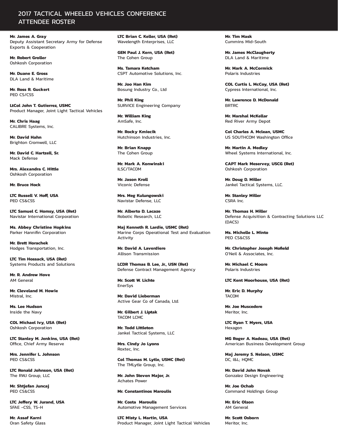#### 2017 TACTICAL WHEELED VEHICLES CONFERENCE ATTENDEE ROSTER

**Mr. James A. Gray**  Deputy Assistant Secretary Army for Defense Exports & Cooperation

**Mr. Robert Groller**  Oshkosh Corporation

**Mr. Duane E. Gross**  DLA Land & Maritime

**Mr. Ross R. Guckert**  PEO CS/CSS

**LtCol John T. Gutierrez, USMC**  Product Manager, Joint Light Tactical Vehicles

**Mr. Chris Haag**  CALIBRE Systems, Inc.

**Mr. David Hahn**  Brighton Cromwell, LLC

**Mr. David C. Hartzell, Sr.**  Mack Defense

**Mrs. Alexandra C. Hittle**  Oshkosh Corporation

**Mr. Bruce Hock** 

**LTC Russell V. Hoff, USA**  PEO CS&CSS

**LTC Samuel C. Homsy, USA (Ret)**  Navistar International Corporation

**Ms. Abbey Christine Hopkins**  Parker Hannifin Corporation

**Mr. Brett Horachek**  Hodges Transportation, Inc.

**LTC Tim Hossack, USA (Ret)**  Systems Products and Solutions

**Mr. R. Andrew Hove**  AM General

**Mr. Cleveland M. Howie**  Mistral, Inc.

**Ms. Lee Hudson**  Inside the Navy

**COL Michael Ivy, USA (Ret)**  Oshkosh Corporation

**LTC Stanley M. Jenkins, USA (Ret)**  Office, Chief Army Reserve

**Mrs. Jennifer L. Johnson**  PEO CS&CSS

**LTC Ronald Johnson, USA (Ret)**  The RWJ Group, LLC

**Mr. Shtjefan Juncaj**  PEO CS&CSS

**LTC Jeffery W. Jurand, USA**  SFAE -CSS, TS-H

**Mr. Assaf Karni**  Oran Safety Glass **LTC Brian C. Keller, USA (Ret)**  Wavelength Enterprises, LLC

**GEN Paul J. Kern, USA (Ret)**  The Cohen Group

**Ms. Tamara Ketcham**  CSPT Automotive Solutions, Inc.

**Mr. Joo Han Kim**  Bosung Industry Co., Ltd

**Mr. Phil King**  SURVICE Engineering Company

**Mr. William King**  AmSafe, Inc.

**Mr. Rocky Kmiecik**  Hutchinson Industries, Inc.

**Mr. Brian Knapp**  The Cohen Group

**Mr. Mark A. Konwinski**  ILSC/TACOM

**Mr. Jason Kroll**  Viconic Defense

**Mrs. Meg Kulungowski**  Navistar Defense, LLC

**Mr. Alberto D. Lacaze**  Robotic Research, LLC

**Maj Kenneth R. Lardie, USMC (Ret)**  Marine Corps Operational Test and Evaluation Activity

**Mr. David A. Laverdiere**  Allison Transmission

**LCDR Thomas B. Lee, Jr., USN (Ret)**  Defense Contract Management Agency

**Mr. Scott W. Lichte**  EnerSys

**Mr. David Lieberman**  Active Gear Co of Canada, Ltd.

**Mr. Gilbert J. Liptak**  TACOM LCMC

**Mr. Todd Littleton**  Jankel Tactical Systems, LLC

**Mrs. Cindy Jo Lyons**  Roxtec, Inc.

**Col Thomas M. Lytle, USMC (Ret)**  The TMLytle Group, Inc.

**Mr. John Steven Major, Jr.**  Achates Power

#### **Mr. Constantinos Maroulis**

**Mr. Costa Maroulis**  Automotive Management Services

**LTC Misty L. Martin, USA**  Product Manager, Joint Light Tactical Vehicles **Mr. Tim Mask**  Cummins Mid-South

**Mr. James McClaugherty**  DLA Land & Maritime

**Mr. Mark A. McCormick**  Polaris Industries

**COL Curtis L. McCoy, USA (Ret)**  Cypress International, Inc.

**Mr. Lawrence D. McDonald BDTDC** 

**Mr. Marshal McKellar**  Red River Army Depot

**Col Charles A. Mclean, USMC**  US SOUTHCOM Washington Office

**Mr. Martin A. Medley**  Wheel Systems International, Inc.

**CAPT Mark Meservey, USCG (Ret)**  Oshkosh Corporation

**Mr. Doug D. Miller**  Jankel Tactical Systems, LLC.

**Mr. Stanley Miller**  CSRA Inc.

**Mr. Thomas H. Miller**  Defense Acquisition & Contracting Solutions LLC (DACS)

**Ms. Michelle L. Minto**  PEO CS&CSS

**Mr. Christopher Joseph Mofield**  O'Neil & Associates, Inc.

**Mr. Michael C. Moore**  Polaris Industries

**LTC Kent Moorhouse, USA (Ret)** 

**Mr. Eric D. Murphy**  TACOM

**Mr. Joe Muscedere**  Meritor, Inc.

**LTC Ryan T. Myers, USA**  Hexagon

**MG Roger A. Nadeau, USA (Ret)**  American Business Development Group

**Maj Jeremy S. Nelson, USMC**  DC, I&L; HQMC

**Mr. David John Novak**  Gonzalez Design Engineering

**Mr. Joe Ochab**  Command Holdings Group

**Mr. Eric Olson**  AM General

**Mr. Scott Osborn**  Meritor, Inc.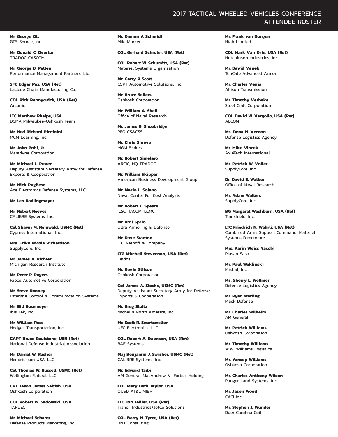**Mr. George Ott**  GPS Source, Inc.

**Mr. Donald C. Overton**  TRADOC CASCOM

**Mr. George B. Patten**  Performance Management Partners, Ltd.

**SFC Edgar Paz, USA (Ret)**  Laclede Chain Manufacturing Co.

**COL Rick Pennycuick, USA (Ret)**  Arconic

**LTC Matthew Phelps, USA**  DCMA Milwaukee-Oshkosh Team

**Mr. Ned Richard Piccinini**  MCM Learning, Inc.

**Mr. John Pohl, Jr.**  Maradyne Corporation

**Mr. Michael L. Prater**  Deputy Assistant Secretary Army for Defense Exports & Cooperation

**Mr. Nick Pugliese**  Ace Electronics Defense Systems, LLC

**Mr. Leo Radlingmayer** 

**Mr. Robert Reeves**  CALIBRE Systems, Inc.

**Col Shawn M. Reinwald, USMC (Ret)**  Cypress International, Inc.

**Mrs. Erika Nicole Richardson**  SupplyCore, Inc.

**Mr. James A. Richter**  Michigan Research Institute

**Mr. Peter P. Rogers**  Fabco Automotive Corporation

**Mr. Steve Rooney**  Esterline Control & Communication Systems

**Mr. Bill Rosemeyer**  Ibis Tek, Inc.

**Mr. William Ross**  Hodges Transportation, Inc.

**CAPT Bruce Roulstone, USN (Ret)**  National Defense Industrial Association

**Mr. Daniel W. Rusher**  Hendrickson USA, LLC

**Col Thomas W. Russell, USMC (Ret)**  Wellington Federal, LLC

**CPT Jason James Sabish, USA**  Oshkosh Corporation

**COL Robert W. Sadowski, USA**  TARDEC

**Mr. Michael Scharra**  Defense Products Marketing, Inc. **Mr. Damon A Schmidt**  Mile Marker

**COL Gerhard Schroter, USA (Ret)** 

**COL Robert W. Schumitz, USA (Ret)**  Materiel Systems Organization

**Mr. Gerry R Scott**  CSPT Automotive Solutions, Inc.

**Mr. Bruce Sellers**  Oshkosh Corporation

**Mr. William A. Shell**  Office of Naval Research

**Mr. James R. Shoebridge**  PEO CS&CSS

**Mr. Chris Shreve**  MGM Brakes

**Mr. Robert Simelaro**  ARCIC, HQ TRADOC

**Mr. William Skipper**  American Business Development Group

**Mr. Mario L. Solano**  Naval Center For Cost Analysis

**Mr. Robert L. Speare**  ILSC, TACOM, LCMC

**Mr. Phil Sprio**  Ultra Armoring & Defense

**Mr. Dave Stanton**  C.E. Niehoff & Company

**LTG Mitchell Stevenson, USA (Ret)**  Leidos

**Mr. Kevin Stilson**  Oshkosh Corporation

**Col James A. Stocks, USMC (Ret)**  Deputy Assistant Secretary Army for Defense Exports & Cooperation

**Mr. Greg Stultz**  Michelin North America, Inc.

**Mr. Scott R. Swartzwelter**  UEC Electronics, LLC

**COL Robert A. Swenson, USA (Ret)**  BAE Systems

**Maj Benjamin J. Swisher, USMC (Ret)**  CALIBRE Systems, Inc.

**Mr. Edward Taibi**  AM General-MacAndrew & Forbes Holding

**COL Mary Beth Taylor, USA**  OUSD AT&L MIBP

**LTC Jon Tellier, USA (Ret)**  Tranor Industries/JetCo Solutions

**COL Barry N. Tyree, USA (Ret)**  BNT Consulting

2017 TACTICAL WHEELED VEHICLES CONFERENCE

**Mr. Frank van Dongen**  Hiab Limited

**COL Mark Van Drie, USA (Ret)**  Hutchinson Industries, Inc.

**Mr. David Vanek**  TenCate Advanced Armor

**Mr. Charles Venis**  Allison Transmission

**Mr. Timothy Verbeke**  Steel Craft Corporation

**COL David W. Vergollo, USA (Ret)**  AECOM

**Ms. Dena H. Vernon**  Defense Logistics Agency

**Mr. Mike Vincek**  AxleTech International

**Mr. Patrick W. Voller**  SupplyCore, Inc.

**Dr. David E. Walker**  Office of Naval Research

**Mr. Adam Walters**  SupplyCore, Inc.

**BG Margaret Washburn, USA (Ret)**  Transhield, Inc.

**LTC Friedrich N. Wehrli, USA (Ret)**  Combined Arms Support Command, Materiel Systems Directorate

**Mrs. Karin Weiss Yacobi**  Plasan Sasa

**Mr. Paul Weklinski**  Mistral, Inc.

**Ms. Sherry L. Wellmer**  Defense Logistics Agency

**Mr. Ryan Werling**  Mack Defense

**Mr. Charles Wilhelm**  AM General

**Mr. Patrick Williams**  Oshkosh Corporation

**Mr. Timothy Williams**  W.W. Williams Logistics

**Mr. Yancey Williams**  Oshkosh Corporation

**Mr. Charles Anthony Wilson**  Ranger Land Systems, Inc.

**Mr. Jason Wood**  CACI Inc.

**Mr. Stephen J. Wunder**  Duer Carolina Coil

## ATTENDEE ROSTER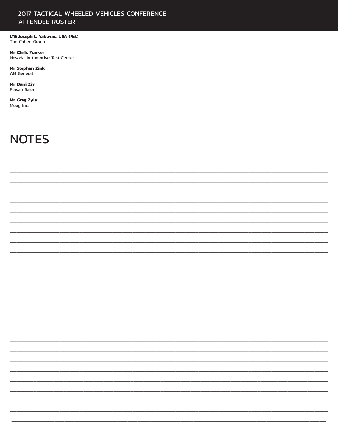#### 2017 TACTICAL WHEELED VEHICLES CONFERENCE **ATTENDEE ROSTER**

LTG Joseph L Yakovac, USA (Ret) The Cohen Group

Mr. Chris Yunker Nevada Automotive Test Center

Mr. Stephen Zink AM General

Mr. Dani Ziv Plasan Sasa

Mr. Greg Zyla Moog Inc.

## **NOTES**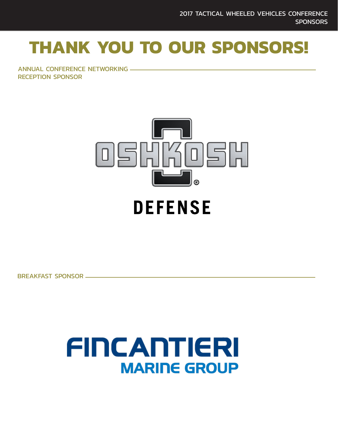## **THANK YOU TO OUR SPONSORS!**

ANNUAL CONFERENCE NETWORKING RECEPTION SPONSOR



## **DEFENSE**

BREAKFAST SPONSOR